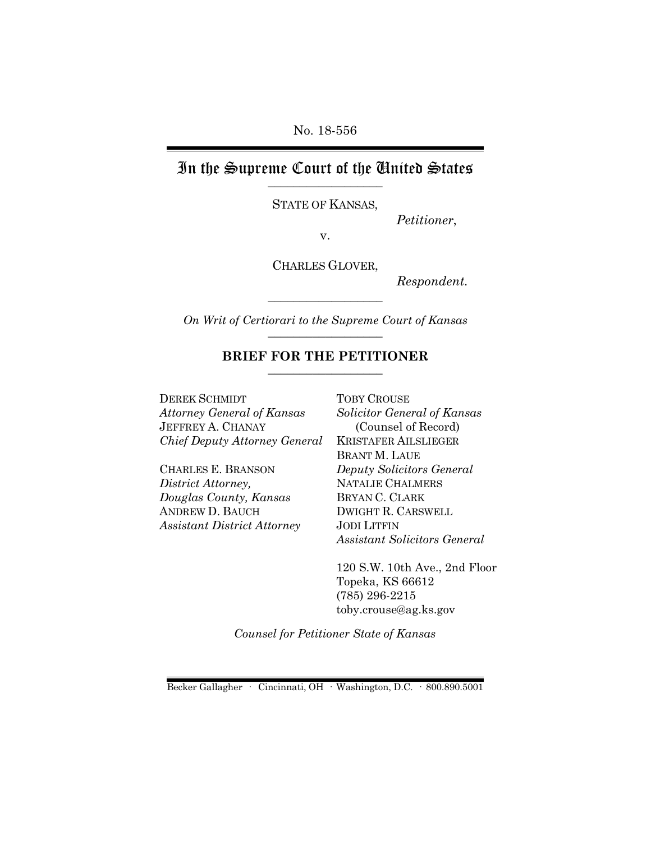No. 18-556

## In the Supreme Court of the United States \_\_\_\_\_\_\_\_\_\_\_\_\_\_\_\_\_\_

STATE OF KANSAS,

*Petitioner*,

v.

CHARLES GLOVER,

*Respondent.*

*On Writ of Certiorari to the Supreme Court of Kansas* \_\_\_\_\_\_\_\_\_\_\_\_\_\_\_\_\_\_

\_\_\_\_\_\_\_\_\_\_\_\_\_\_\_\_\_\_

#### **BRIEF FOR THE PETITIONER** \_\_\_\_\_\_\_\_\_\_\_\_\_\_\_\_\_\_

DEREK SCHMIDT *Attorney General of Kansas* JEFFREY A. CHANAY *Chief Deputy Attorney General*

CHARLES E. BRANSON *District Attorney, Douglas County, Kansas* ANDREW D. BAUCH *Assistant District Attorney* TOBY CROUSE *Solicitor General of Kansas* (Counsel of Record) KRISTAFER AILSLIEGER BRANT M. LAUE *Deputy Solicitors General* NATALIE CHALMERS BRYAN C. CLARK DWIGHT R. CARSWELL JODI LITFIN *Assistant Solicitors General* 

120 S.W. 10th Ave., 2nd Floor Topeka, KS 66612 (785) 296-2215 toby.crouse@ag.ks.gov

*Counsel for Petitioner State of Kansas*

Becker Gallagher · Cincinnati, OH · Washington, D.C. · 800.890.5001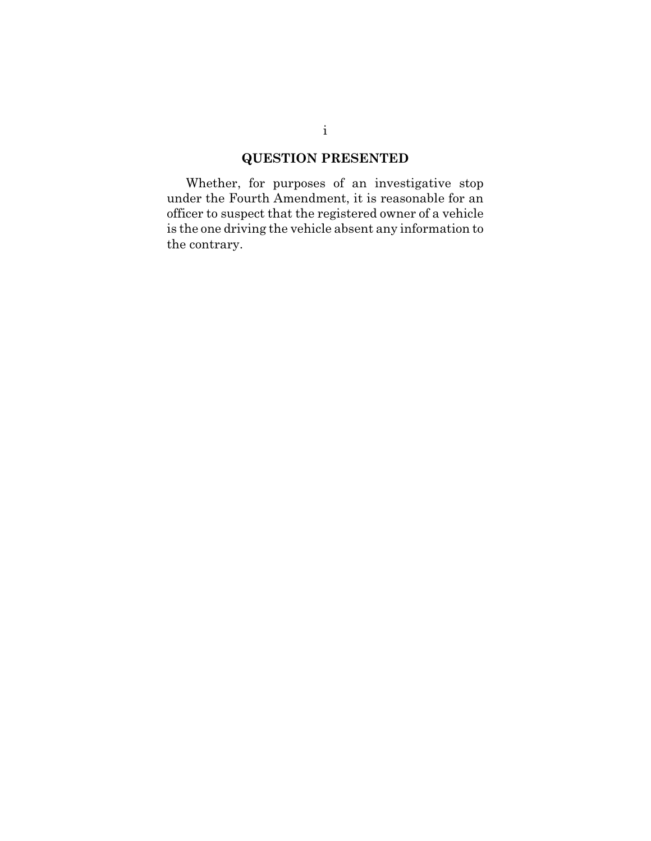# **QUESTION PRESENTED**

Whether, for purposes of an investigative stop under the Fourth Amendment, it is reasonable for an officer to suspect that the registered owner of a vehicle is the one driving the vehicle absent any information to the contrary.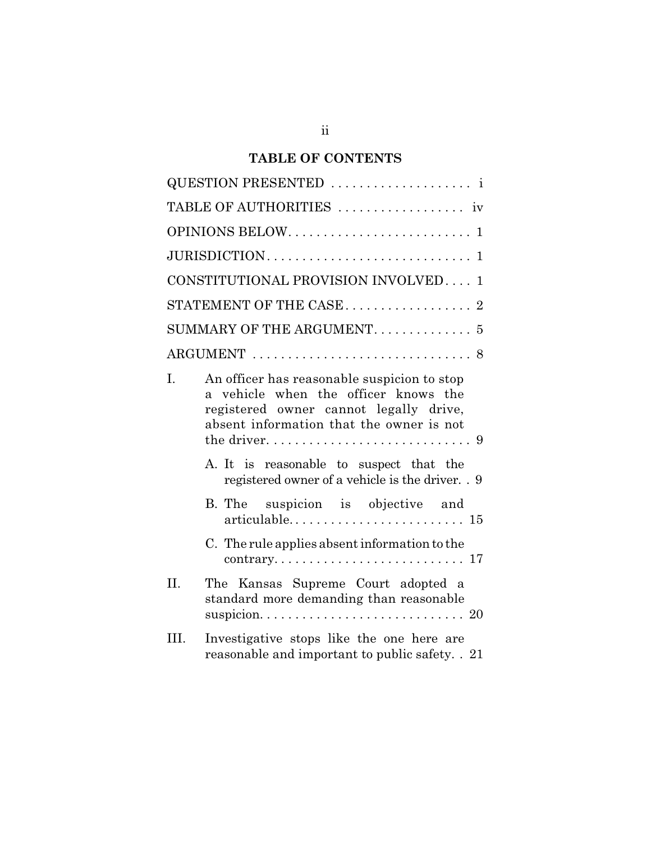# **TABLE OF CONTENTS**

|                | CONSTITUTIONAL PROVISION INVOLVED 1                                                                                                                                       |
|----------------|---------------------------------------------------------------------------------------------------------------------------------------------------------------------------|
|                |                                                                                                                                                                           |
|                | SUMMARY OF THE ARGUMENT. 5                                                                                                                                                |
|                |                                                                                                                                                                           |
| $\mathbf{I}$ . | An officer has reasonable suspicion to stop<br>a vehicle when the officer knows the<br>registered owner cannot legally drive,<br>absent information that the owner is not |
|                | A. It is reasonable to suspect that the<br>registered owner of a vehicle is the driver. . 9                                                                               |
|                | B. The suspicion is objective and<br>$articulable \ldots \ldots \ldots \ldots \ldots \ldots \ldots 15$                                                                    |
|                | C. The rule applies absent information to the                                                                                                                             |
| II.            | The Kansas Supreme Court adopted a<br>standard more demanding than reasonable                                                                                             |
| III.           | Investigative stops like the one here are<br>reasonable and important to public safety. . 21                                                                              |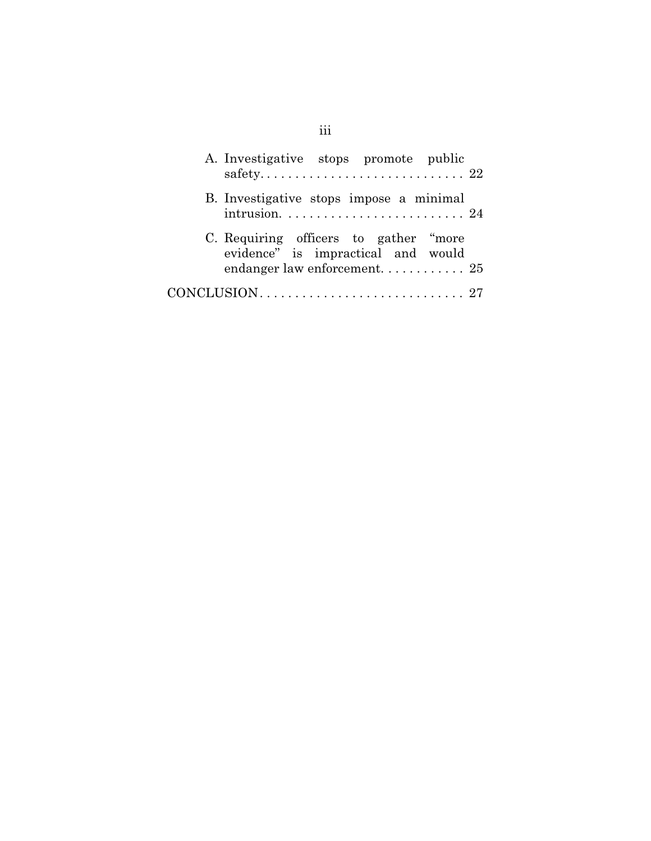| A. Investigative stops promote public                                        |  |
|------------------------------------------------------------------------------|--|
| B. Investigative stops impose a minimal                                      |  |
| C. Requiring officers to gather "more"<br>evidence" is impractical and would |  |
|                                                                              |  |

# iii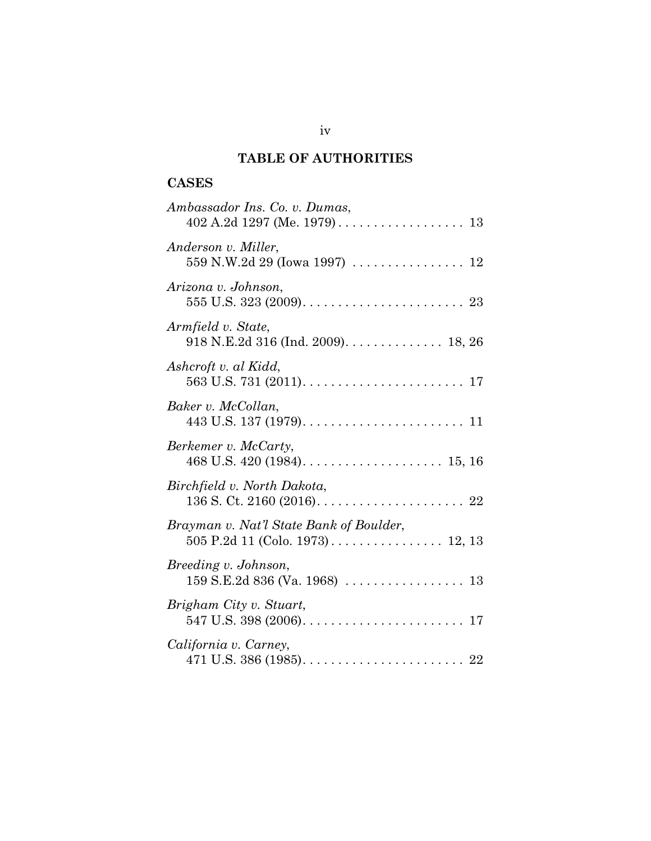# **TABLE OF AUTHORITIES**

# **CASES**

| Ambassador Ins. Co. v. Dumas,                                                                              |
|------------------------------------------------------------------------------------------------------------|
| Anderson v. Miller,<br>559 N.W.2d 29 (Iowa 1997)  12                                                       |
| Arizona v. Johnson,                                                                                        |
| Armfield v. State,<br>918 N.E.2d 316 (Ind. 2009). 18, 26                                                   |
| Ashcroft v. al Kidd,                                                                                       |
| Baker v. McCollan,                                                                                         |
| Berkemer v. McCarty,                                                                                       |
| Birchfield v. North Dakota,                                                                                |
| Brayman v. Nat'l State Bank of Boulder,                                                                    |
| Breeding v. Johnson,                                                                                       |
| Brigham City v. Stuart,                                                                                    |
| California v. Carney,<br>471 U.S. 386 (1985). $\ldots \ldots \ldots \ldots \ldots \ldots \ldots \ldots 22$ |

iv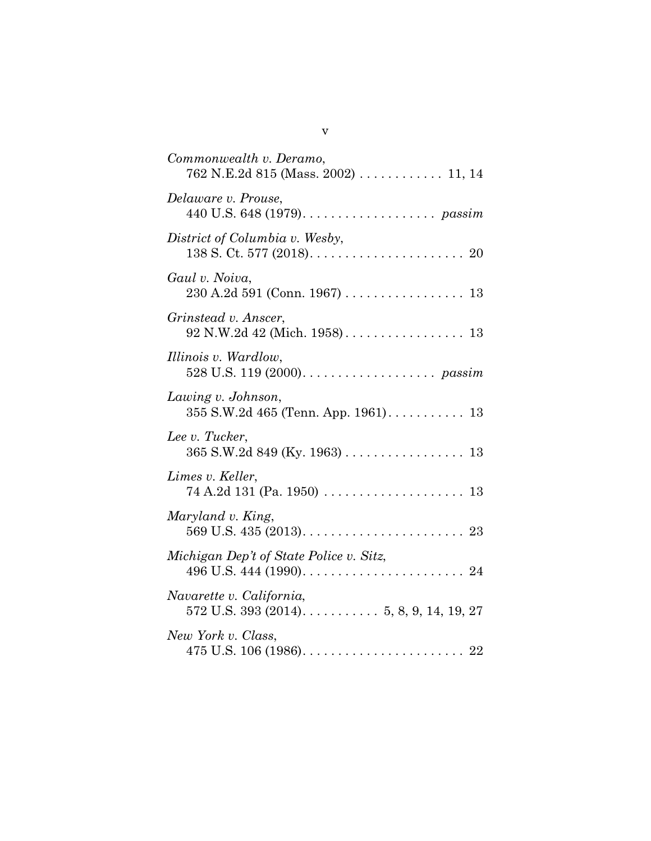| Commonwealth v. Deramo,<br>762 N.E.2d 815 (Mass. 2002)  11, 14 |
|----------------------------------------------------------------|
| Delaware v. Prouse,                                            |
| District of Columbia v. Wesby,                                 |
| Gaul v. Noiva,                                                 |
| Grinstead v. Anscer,                                           |
| Illinois v. Wardlow,                                           |
| Lawing v. Johnson,                                             |
| Lee v. Tucker,<br>$365$ S.W.2d $849$ (Ky. 1963) 13             |
| Limes v. Keller,                                               |
| Maryland v. King,                                              |
| Michigan Dep't of State Police v. Sitz,                        |
| Navarette v. California,                                       |
| New York v. Class,                                             |

| ۰. |  |
|----|--|
|    |  |
|    |  |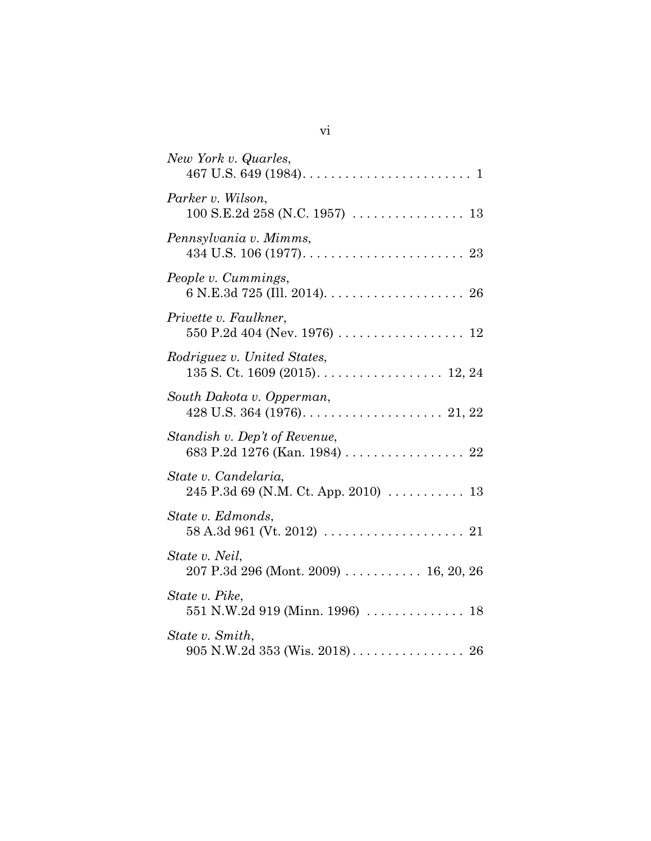| New York v. Quarles,                                                               |
|------------------------------------------------------------------------------------|
| Parker v. Wilson,                                                                  |
| Pennsylvania v. Mimms,                                                             |
| People v. Cummings,                                                                |
| Privette v. Faulkner,                                                              |
| Rodriguez v. United States,<br>135 S. Ct. 1609 (2015). 12, 24                      |
| South Dakota v. Opperman,                                                          |
| Standish v. Dep't of Revenue,<br>683 P.2d 1276 (Kan. 1984) 22                      |
| State v. Candelaria,<br>245 P.3d 69 (N.M. Ct. App. 2010) $\ldots \ldots \ldots$ 13 |
| State v. Edmonds,                                                                  |
| State v. Neil,<br>207 P.3d 296 (Mont. 2009) $\ldots \ldots \ldots 16, 20, 26$      |
| State v. Pike,<br>551 N.W.2d 919 (Minn. 1996)  18                                  |
| State v. Smith,                                                                    |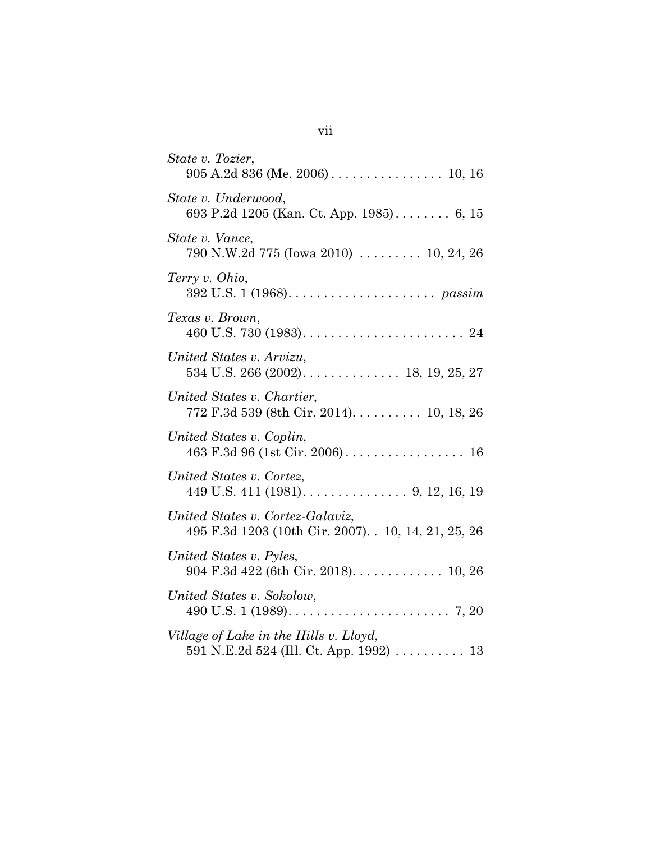| State v. Tozier,                                                                         |
|------------------------------------------------------------------------------------------|
| State v. Underwood,<br>693 P.2d 1205 (Kan. Ct. App. 1985) 6, 15                          |
| State v. Vance,<br>790 N.W.2d 775 (Iowa 2010)  10, 24, 26                                |
| Terry v. Ohio,                                                                           |
| Texas v. Brown,                                                                          |
| United States v. Arvizu,                                                                 |
| United States v. Chartier,<br>772 F.3d 539 (8th Cir. 2014) 10, 18, 26                    |
| United States v. Coplin,                                                                 |
| United States v. Cortez,<br>449 U.S. 411 (1981). $\dots$ . $\dots$ . $9, 12, 16, 19$     |
| United States v. Cortez-Galaviz,<br>495 F.3d 1203 (10th Cir. 2007). . 10, 14, 21, 25, 26 |
| United States v. Pyles,<br>904 F.3d 422 (6th Cir. 2018). 10, 26                          |
| United States v. Sokolow,                                                                |
| Village of Lake in the Hills v. Lloyd,<br>591 N.E.2d 524 (Ill. Ct. App. 1992) 13         |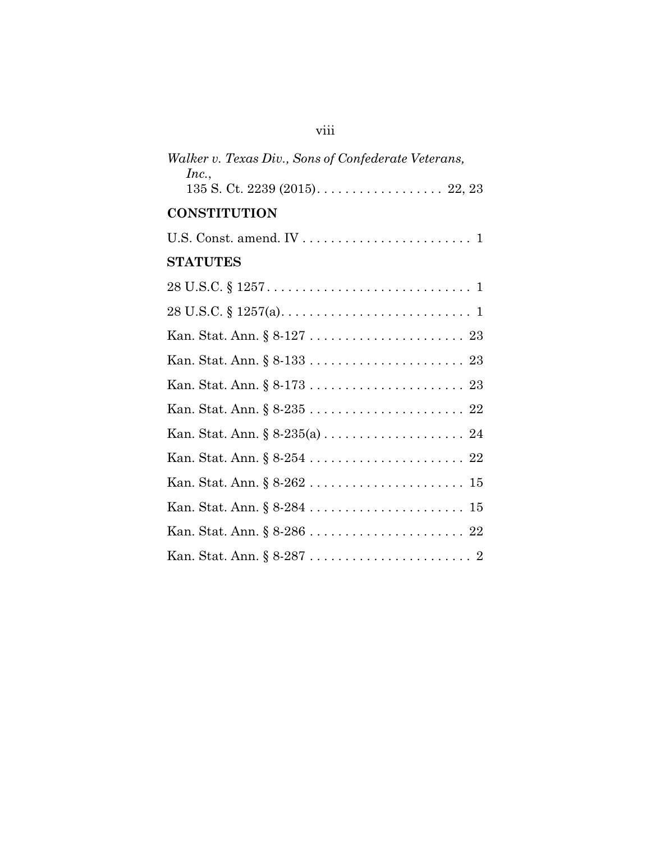| Walker v. Texas Div., Sons of Confederate Veterans,<br>Inc., |
|--------------------------------------------------------------|
|                                                              |
| <b>CONSTITUTION</b>                                          |
|                                                              |
| <b>STATUTES</b>                                              |
|                                                              |
|                                                              |
|                                                              |
|                                                              |
|                                                              |
|                                                              |
|                                                              |
|                                                              |
|                                                              |
|                                                              |
|                                                              |
|                                                              |

viii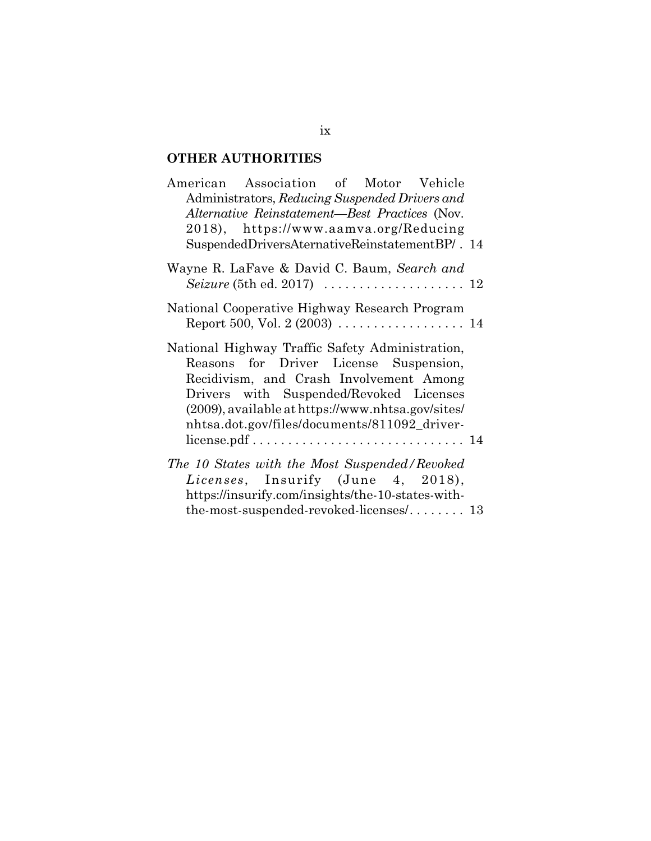# **OTHER AUTHORITIES**

| American Association of Motor Vehicle<br>Administrators, Reducing Suspended Drivers and<br>Alternative Reinstatement-Best Practices (Nov.<br>2018), https://www.aamva.org/Reducing                                                                                                      |
|-----------------------------------------------------------------------------------------------------------------------------------------------------------------------------------------------------------------------------------------------------------------------------------------|
| SuspendedDriversAternativeReinstatementBP/. 14                                                                                                                                                                                                                                          |
| Wayne R. LaFave & David C. Baum, Search and<br>Seizure (5th ed. 2017) $\ldots \ldots \ldots \ldots \ldots \ldots 12$                                                                                                                                                                    |
| National Cooperative Highway Research Program<br>Report 500, Vol. 2 (2003) $\ldots \ldots \ldots \ldots \ldots 14$                                                                                                                                                                      |
| National Highway Traffic Safety Administration,<br>Reasons for Driver License Suspension,<br>Recidivism, and Crash Involvement Among<br>Drivers with Suspended/Revoked Licenses<br>$(2009)$ , available at https://www.nhtsa.gov/sites/<br>nhtsa.dot.gov/files/documents/811092_driver- |
| The 10 States with the Most Suspended/Revoked<br>Licenses, Insurify (June 4, 2018),<br>https://insurify.com/insights/the-10-states-with-<br>the-most-suspended-revoked-licenses $/$ 13                                                                                                  |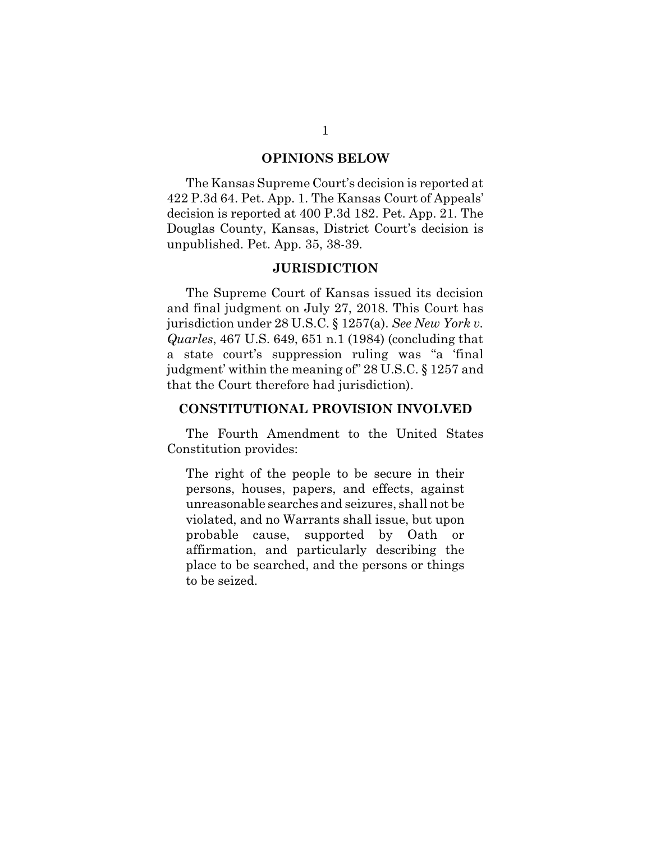#### **OPINIONS BELOW**

The Kansas Supreme Court's decision is reported at 422 P.3d 64. Pet. App. 1. The Kansas Court of Appeals' decision is reported at 400 P.3d 182. Pet. App. 21. The Douglas County, Kansas, District Court's decision is unpublished. Pet. App. 35, 38-39.

#### **JURISDICTION**

The Supreme Court of Kansas issued its decision and final judgment on July 27, 2018. This Court has jurisdiction under 28 U.S.C. § 1257(a). *See New York v. Quarles*, 467 U.S. 649, 651 n.1 (1984) (concluding that a state court's suppression ruling was "a 'final judgment' within the meaning of" 28 U.S.C. § 1257 and that the Court therefore had jurisdiction).

## **CONSTITUTIONAL PROVISION INVOLVED**

The Fourth Amendment to the United States Constitution provides:

The right of the people to be secure in their persons, houses, papers, and effects, against unreasonable searches and seizures, shall not be violated, and no Warrants shall issue, but upon probable cause, supported by Oath or affirmation, and particularly describing the place to be searched, and the persons or things to be seized.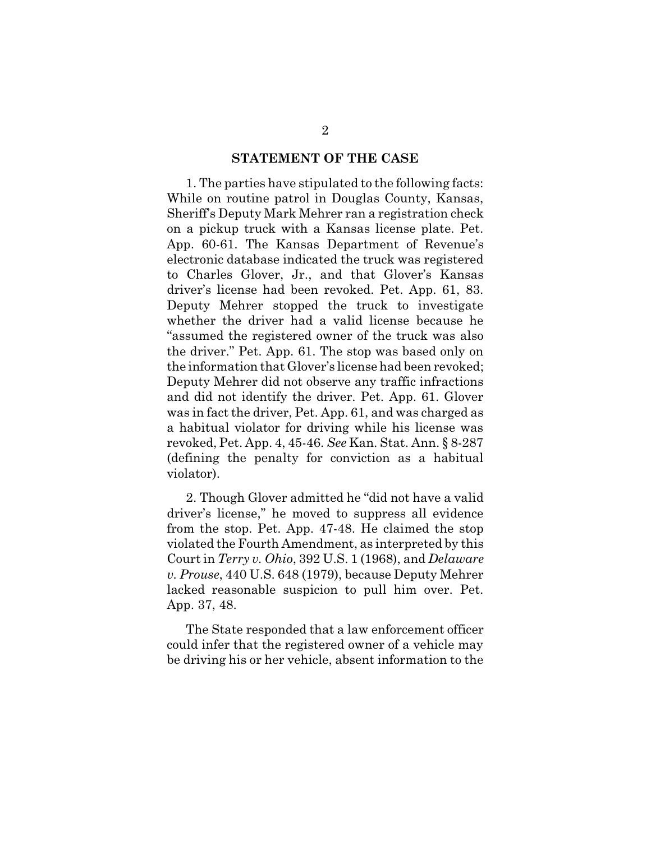#### **STATEMENT OF THE CASE**

1. The parties have stipulated to the following facts: While on routine patrol in Douglas County, Kansas, Sheriff's Deputy Mark Mehrer ran a registration check on a pickup truck with a Kansas license plate. Pet. App. 60-61. The Kansas Department of Revenue's electronic database indicated the truck was registered to Charles Glover, Jr., and that Glover's Kansas driver's license had been revoked. Pet. App. 61, 83. Deputy Mehrer stopped the truck to investigate whether the driver had a valid license because he "assumed the registered owner of the truck was also the driver." Pet. App. 61. The stop was based only on the information that Glover's license had been revoked; Deputy Mehrer did not observe any traffic infractions and did not identify the driver. Pet. App. 61. Glover was in fact the driver, Pet. App. 61, and was charged as a habitual violator for driving while his license was revoked, Pet. App. 4, 45-46. *See* Kan. Stat. Ann. § 8-287 (defining the penalty for conviction as a habitual violator).

2. Though Glover admitted he "did not have a valid driver's license," he moved to suppress all evidence from the stop. Pet. App. 47-48. He claimed the stop violated the Fourth Amendment, as interpreted by this Court in *Terry v. Ohio*, 392 U.S. 1 (1968), and *Delaware v. Prouse*, 440 U.S. 648 (1979), because Deputy Mehrer lacked reasonable suspicion to pull him over. Pet. App. 37, 48.

The State responded that a law enforcement officer could infer that the registered owner of a vehicle may be driving his or her vehicle, absent information to the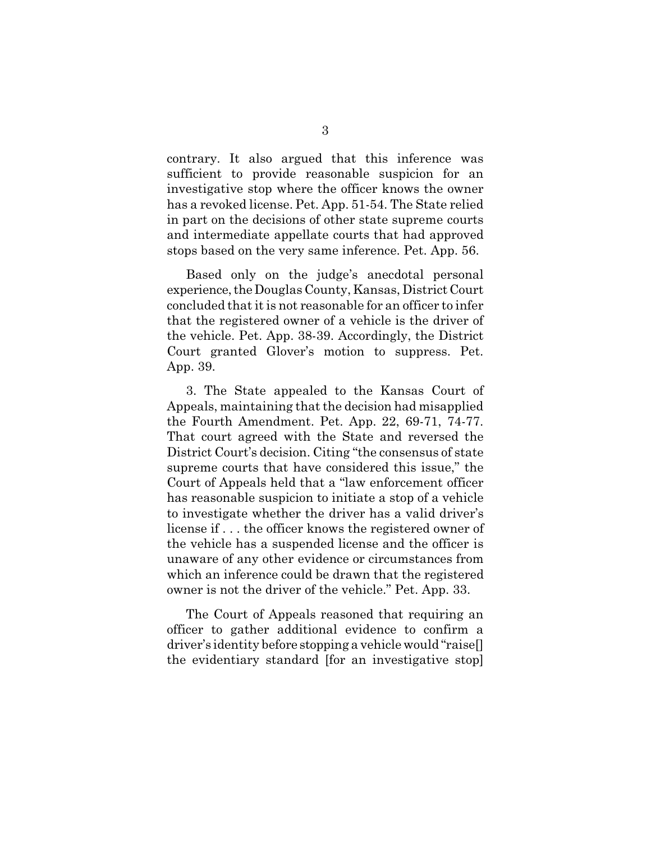contrary. It also argued that this inference was sufficient to provide reasonable suspicion for an investigative stop where the officer knows the owner has a revoked license. Pet. App. 51-54. The State relied in part on the decisions of other state supreme courts and intermediate appellate courts that had approved stops based on the very same inference. Pet. App. 56.

Based only on the judge's anecdotal personal experience, the Douglas County, Kansas, District Court concluded that it is not reasonable for an officer to infer that the registered owner of a vehicle is the driver of the vehicle. Pet. App. 38-39. Accordingly, the District Court granted Glover's motion to suppress. Pet. App. 39.

3. The State appealed to the Kansas Court of Appeals, maintaining that the decision had misapplied the Fourth Amendment. Pet. App. 22, 69-71, 74-77. That court agreed with the State and reversed the District Court's decision. Citing "the consensus of state supreme courts that have considered this issue," the Court of Appeals held that a "law enforcement officer has reasonable suspicion to initiate a stop of a vehicle to investigate whether the driver has a valid driver's license if . . . the officer knows the registered owner of the vehicle has a suspended license and the officer is unaware of any other evidence or circumstances from which an inference could be drawn that the registered owner is not the driver of the vehicle." Pet. App. 33.

The Court of Appeals reasoned that requiring an officer to gather additional evidence to confirm a driver's identity before stopping a vehicle would "raise[] the evidentiary standard [for an investigative stop]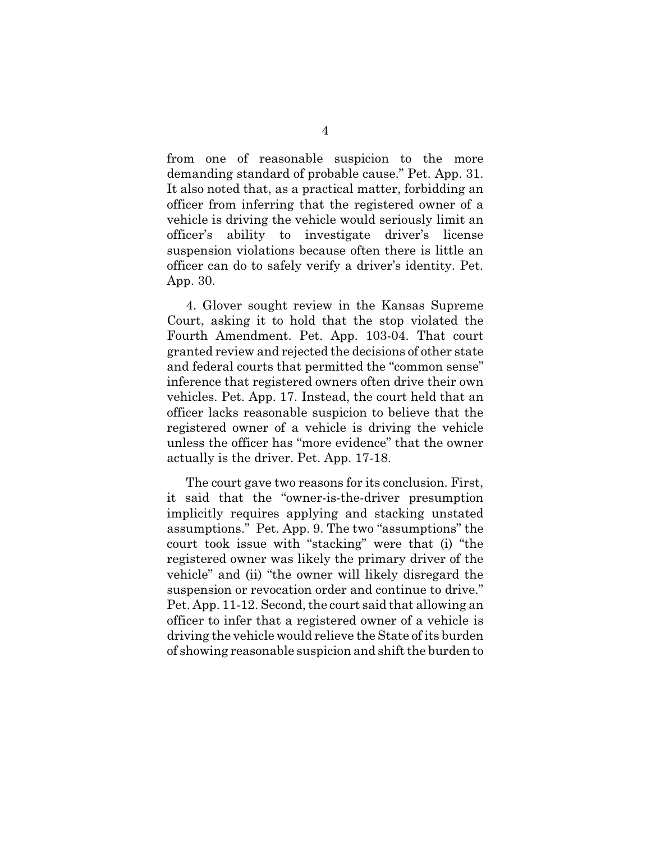from one of reasonable suspicion to the more demanding standard of probable cause." Pet. App. 31. It also noted that, as a practical matter, forbidding an officer from inferring that the registered owner of a vehicle is driving the vehicle would seriously limit an officer's ability to investigate driver's license suspension violations because often there is little an officer can do to safely verify a driver's identity. Pet. App. 30.

4. Glover sought review in the Kansas Supreme Court, asking it to hold that the stop violated the Fourth Amendment. Pet. App. 103-04. That court granted review and rejected the decisions of other state and federal courts that permitted the "common sense" inference that registered owners often drive their own vehicles. Pet. App. 17. Instead, the court held that an officer lacks reasonable suspicion to believe that the registered owner of a vehicle is driving the vehicle unless the officer has "more evidence" that the owner actually is the driver. Pet. App. 17-18.

The court gave two reasons for its conclusion. First, it said that the "owner-is-the-driver presumption implicitly requires applying and stacking unstated assumptions." Pet. App. 9. The two "assumptions" the court took issue with "stacking" were that (i) "the registered owner was likely the primary driver of the vehicle" and (ii) "the owner will likely disregard the suspension or revocation order and continue to drive." Pet. App. 11-12. Second, the court said that allowing an officer to infer that a registered owner of a vehicle is driving the vehicle would relieve the State of its burden of showing reasonable suspicion and shift the burden to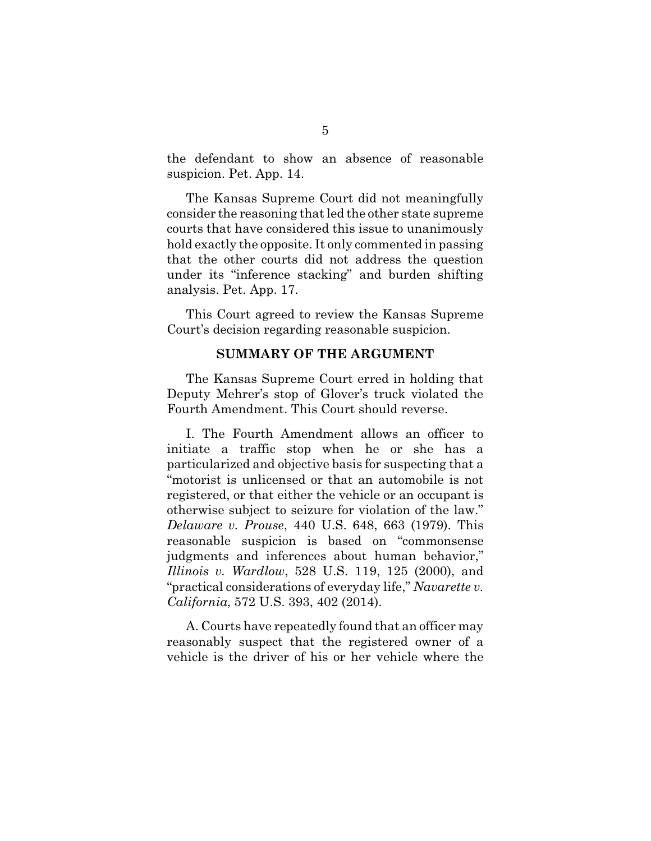the defendant to show an absence of reasonable suspicion. Pet. App. 14.

The Kansas Supreme Court did not meaningfully consider the reasoning that led the other state supreme courts that have considered this issue to unanimously hold exactly the opposite. It only commented in passing that the other courts did not address the question under its "inference stacking" and burden shifting analysis. Pet. App. 17.

This Court agreed to review the Kansas Supreme Court's decision regarding reasonable suspicion.

#### **SUMMARY OF THE ARGUMENT**

The Kansas Supreme Court erred in holding that Deputy Mehrer's stop of Glover's truck violated the Fourth Amendment. This Court should reverse.

I. The Fourth Amendment allows an officer to initiate a traffic stop when he or she has a particularized and objective basis for suspecting that a "motorist is unlicensed or that an automobile is not registered, or that either the vehicle or an occupant is otherwise subject to seizure for violation of the law." *Delaware v. Prouse*, 440 U.S. 648, 663 (1979). This reasonable suspicion is based on "commonsense judgments and inferences about human behavior," *Illinois v. Wardlow*, 528 U.S. 119, 125 (2000), and "practical considerations of everyday life," *Navarette v. California*, 572 U.S. 393, 402 (2014).

A. Courts have repeatedly found that an officer may reasonably suspect that the registered owner of a vehicle is the driver of his or her vehicle where the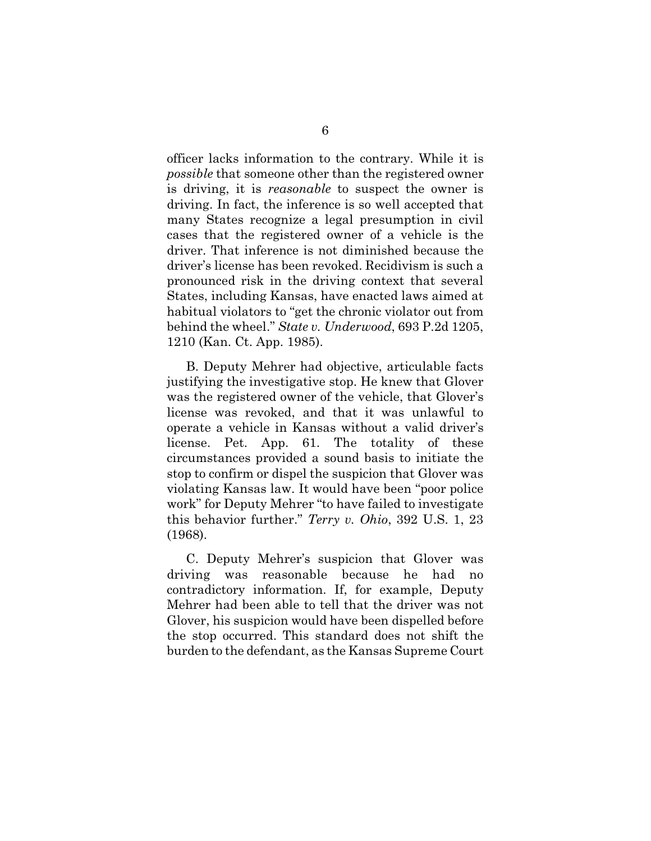officer lacks information to the contrary. While it is *possible* that someone other than the registered owner is driving, it is *reasonable* to suspect the owner is driving. In fact, the inference is so well accepted that many States recognize a legal presumption in civil cases that the registered owner of a vehicle is the driver. That inference is not diminished because the driver's license has been revoked. Recidivism is such a pronounced risk in the driving context that several States, including Kansas, have enacted laws aimed at habitual violators to "get the chronic violator out from behind the wheel." *State v. Underwood*, 693 P.2d 1205, 1210 (Kan. Ct. App. 1985).

B. Deputy Mehrer had objective, articulable facts justifying the investigative stop. He knew that Glover was the registered owner of the vehicle, that Glover's license was revoked, and that it was unlawful to operate a vehicle in Kansas without a valid driver's license. Pet. App. 61. The totality of these circumstances provided a sound basis to initiate the stop to confirm or dispel the suspicion that Glover was violating Kansas law. It would have been "poor police work" for Deputy Mehrer "to have failed to investigate this behavior further." *Terry v. Ohio*, 392 U.S. 1, 23 (1968).

C. Deputy Mehrer's suspicion that Glover was driving was reasonable because he had no contradictory information. If, for example, Deputy Mehrer had been able to tell that the driver was not Glover, his suspicion would have been dispelled before the stop occurred. This standard does not shift the burden to the defendant, as the Kansas Supreme Court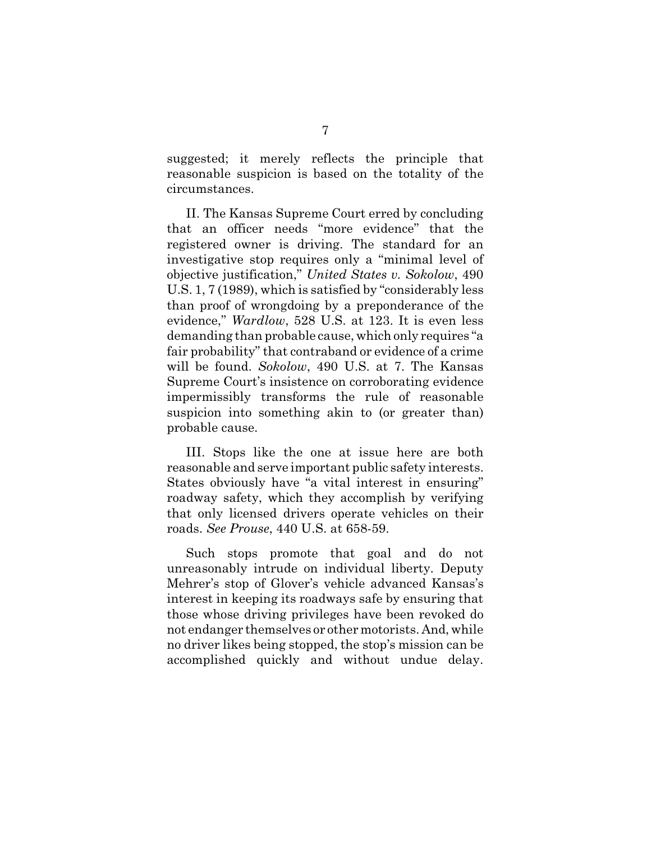suggested; it merely reflects the principle that reasonable suspicion is based on the totality of the circumstances.

II. The Kansas Supreme Court erred by concluding that an officer needs "more evidence" that the registered owner is driving. The standard for an investigative stop requires only a "minimal level of objective justification," *United States v. Sokolow*, 490 U.S. 1, 7 (1989), which is satisfied by "considerably less than proof of wrongdoing by a preponderance of the evidence," *Wardlow*, 528 U.S. at 123. It is even less demanding than probable cause, which only requires "a fair probability" that contraband or evidence of a crime will be found. *Sokolow*, 490 U.S. at 7. The Kansas Supreme Court's insistence on corroborating evidence impermissibly transforms the rule of reasonable suspicion into something akin to (or greater than) probable cause.

III. Stops like the one at issue here are both reasonable and serve important public safety interests. States obviously have "a vital interest in ensuring" roadway safety, which they accomplish by verifying that only licensed drivers operate vehicles on their roads. *See Prouse*, 440 U.S. at 658-59.

Such stops promote that goal and do not unreasonably intrude on individual liberty. Deputy Mehrer's stop of Glover's vehicle advanced Kansas's interest in keeping its roadways safe by ensuring that those whose driving privileges have been revoked do not endanger themselves or other motorists. And, while no driver likes being stopped, the stop's mission can be accomplished quickly and without undue delay.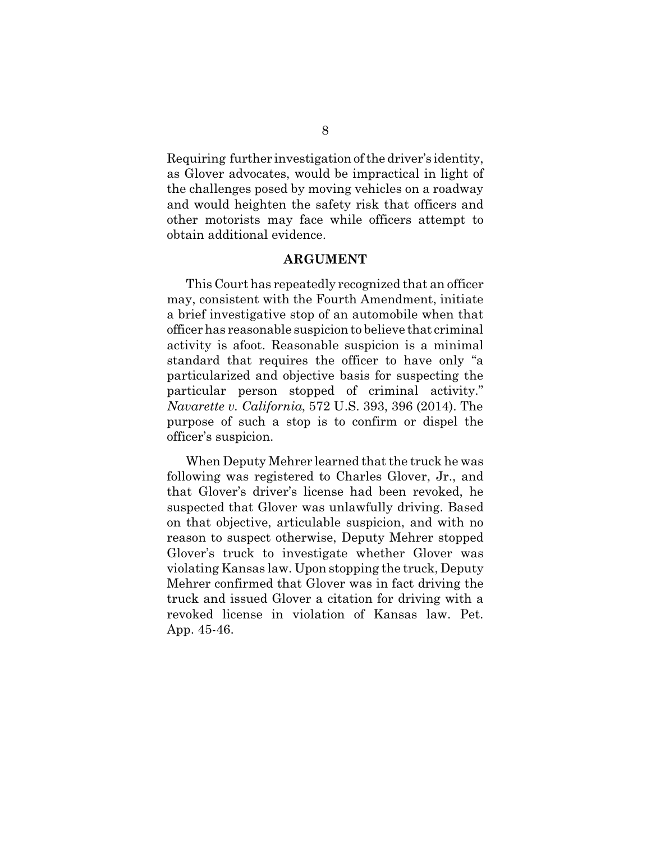Requiring further investigation of the driver's identity, as Glover advocates, would be impractical in light of the challenges posed by moving vehicles on a roadway and would heighten the safety risk that officers and other motorists may face while officers attempt to obtain additional evidence.

### **ARGUMENT**

This Court has repeatedly recognized that an officer may, consistent with the Fourth Amendment, initiate a brief investigative stop of an automobile when that officer has reasonable suspicion to believe that criminal activity is afoot. Reasonable suspicion is a minimal standard that requires the officer to have only "a particularized and objective basis for suspecting the particular person stopped of criminal activity." *Navarette v. California*, 572 U.S. 393, 396 (2014). The purpose of such a stop is to confirm or dispel the officer's suspicion.

When Deputy Mehrer learned that the truck he was following was registered to Charles Glover, Jr., and that Glover's driver's license had been revoked, he suspected that Glover was unlawfully driving. Based on that objective, articulable suspicion, and with no reason to suspect otherwise, Deputy Mehrer stopped Glover's truck to investigate whether Glover was violating Kansas law. Upon stopping the truck, Deputy Mehrer confirmed that Glover was in fact driving the truck and issued Glover a citation for driving with a revoked license in violation of Kansas law. Pet. App. 45-46.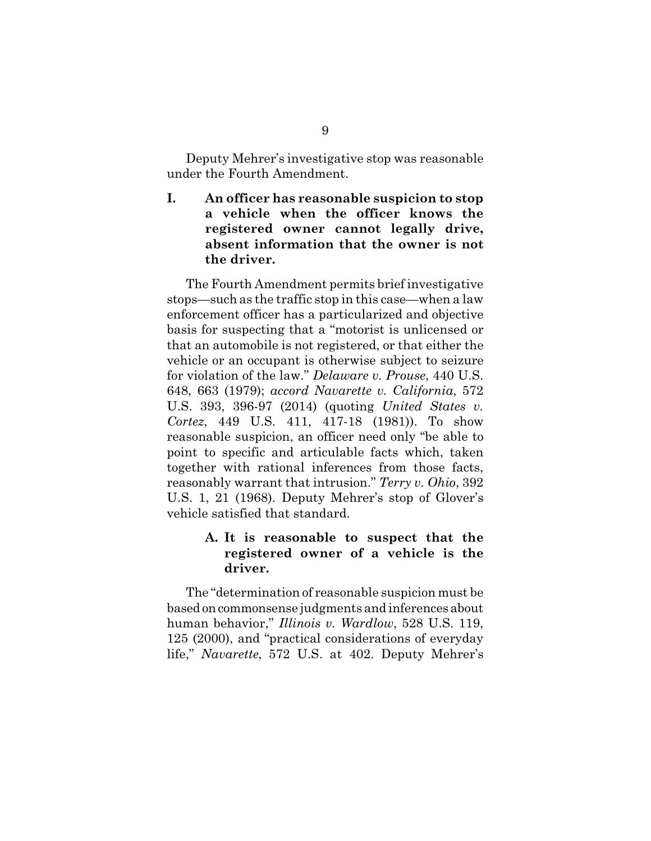Deputy Mehrer's investigative stop was reasonable under the Fourth Amendment.

**I. An officer has reasonable suspicion to stop a vehicle when the officer knows the registered owner cannot legally drive, absent information that the owner is not the driver.**

The Fourth Amendment permits brief investigative stops—such as the traffic stop in this case—when a law enforcement officer has a particularized and objective basis for suspecting that a "motorist is unlicensed or that an automobile is not registered, or that either the vehicle or an occupant is otherwise subject to seizure for violation of the law." *Delaware v. Prouse*, 440 U.S. 648, 663 (1979); *accord Navarette v. California*, 572 U.S. 393, 396-97 (2014) (quoting *United States v. Cortez*, 449 U.S. 411, 417-18 (1981)). To show reasonable suspicion, an officer need only "be able to point to specific and articulable facts which, taken together with rational inferences from those facts, reasonably warrant that intrusion." *Terry v. Ohio*, 392 U.S. 1, 21 (1968). Deputy Mehrer's stop of Glover's vehicle satisfied that standard.

# **A. It is reasonable to suspect that the registered owner of a vehicle is the driver.**

The "determination of reasonable suspicion must be based on commonsense judgments and inferences about human behavior," *Illinois v. Wardlow*, 528 U.S. 119, 125 (2000), and "practical considerations of everyday life," *Navarette*, 572 U.S. at 402. Deputy Mehrer's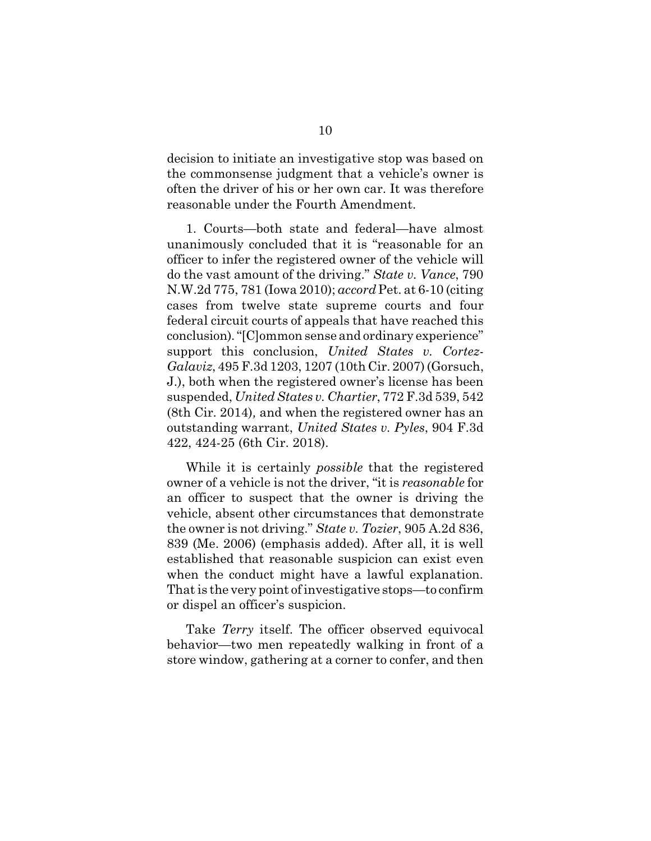decision to initiate an investigative stop was based on the commonsense judgment that a vehicle's owner is often the driver of his or her own car. It was therefore reasonable under the Fourth Amendment.

1. Courts—both state and federal—have almost unanimously concluded that it is "reasonable for an officer to infer the registered owner of the vehicle will do the vast amount of the driving." *State v. Vance*, 790 N.W.2d 775, 781 (Iowa 2010); *accord* Pet. at 6-10 (citing cases from twelve state supreme courts and four federal circuit courts of appeals that have reached this conclusion)."[C]ommon sense and ordinary experience" support this conclusion, *United States v. Cortez-Galaviz*, 495 F.3d 1203, 1207 (10th Cir. 2007) (Gorsuch, J.), both when the registered owner's license has been suspended, *United States v. Chartier*, 772 F.3d 539, 542 (8th Cir. 2014)*,* and when the registered owner has an outstanding warrant, *United States v. Pyles*, 904 F.3d 422, 424-25 (6th Cir. 2018).

While it is certainly *possible* that the registered owner of a vehicle is not the driver, "it is *reasonable* for an officer to suspect that the owner is driving the vehicle, absent other circumstances that demonstrate the owner is not driving." *State v. Tozier*, 905 A.2d 836, 839 (Me. 2006) (emphasis added). After all, it is well established that reasonable suspicion can exist even when the conduct might have a lawful explanation. That is the very point of investigative stops—to confirm or dispel an officer's suspicion.

Take *Terry* itself. The officer observed equivocal behavior—two men repeatedly walking in front of a store window, gathering at a corner to confer, and then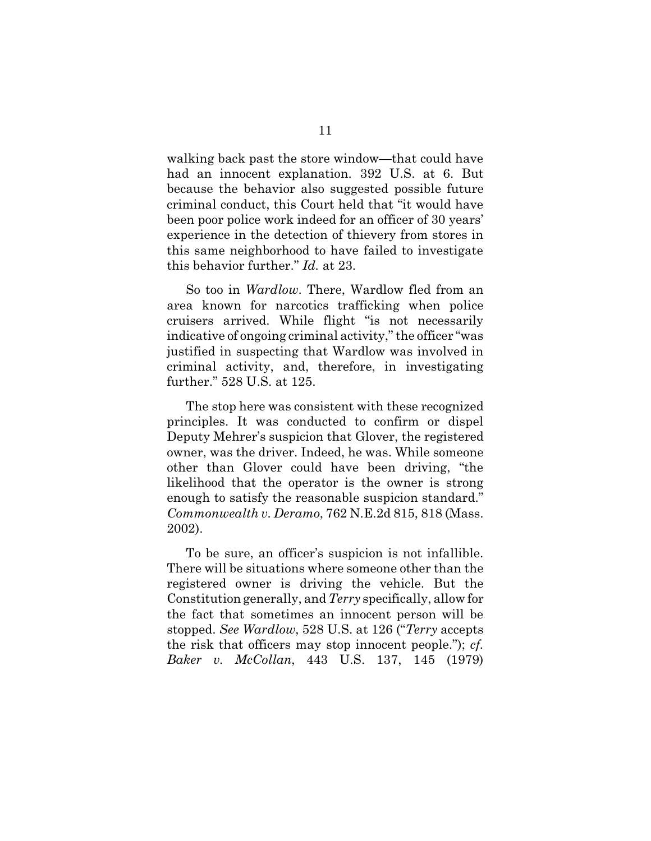walking back past the store window—that could have had an innocent explanation. 392 U.S. at 6. But because the behavior also suggested possible future criminal conduct, this Court held that "it would have been poor police work indeed for an officer of 30 years' experience in the detection of thievery from stores in this same neighborhood to have failed to investigate this behavior further." *Id.* at 23.

So too in *Wardlow*. There, Wardlow fled from an area known for narcotics trafficking when police cruisers arrived. While flight "is not necessarily indicative of ongoing criminal activity," the officer "was justified in suspecting that Wardlow was involved in criminal activity, and, therefore, in investigating further." 528 U.S. at 125.

The stop here was consistent with these recognized principles. It was conducted to confirm or dispel Deputy Mehrer's suspicion that Glover, the registered owner, was the driver. Indeed, he was. While someone other than Glover could have been driving, "the likelihood that the operator is the owner is strong enough to satisfy the reasonable suspicion standard." *Commonwealth v. Deramo*, 762 N.E.2d 815, 818 (Mass. 2002).

To be sure, an officer's suspicion is not infallible. There will be situations where someone other than the registered owner is driving the vehicle. But the Constitution generally, and *Terry* specifically, allow for the fact that sometimes an innocent person will be stopped. *See Wardlow*, 528 U.S. at 126 ("*Terry* accepts the risk that officers may stop innocent people."); *cf. Baker v. McCollan*, 443 U.S. 137, 145 (1979)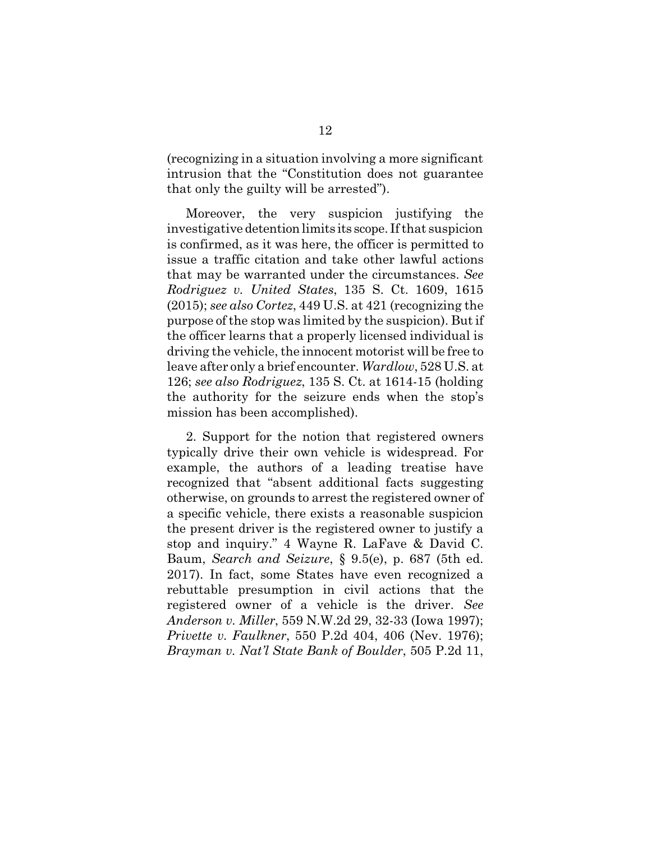(recognizing in a situation involving a more significant intrusion that the "Constitution does not guarantee that only the guilty will be arrested").

Moreover, the very suspicion justifying the investigative detention limits its scope. If that suspicion is confirmed, as it was here, the officer is permitted to issue a traffic citation and take other lawful actions that may be warranted under the circumstances. *See Rodriguez v. United States*, 135 S. Ct. 1609, 1615 (2015); *see also Cortez*, 449 U.S. at 421 (recognizing the purpose of the stop was limited by the suspicion). But if the officer learns that a properly licensed individual is driving the vehicle, the innocent motorist will be free to leave after only a brief encounter. *Wardlow*, 528 U.S. at 126; *see also Rodriguez*, 135 S. Ct. at 1614-15 (holding the authority for the seizure ends when the stop's mission has been accomplished).

2. Support for the notion that registered owners typically drive their own vehicle is widespread. For example, the authors of a leading treatise have recognized that "absent additional facts suggesting otherwise, on grounds to arrest the registered owner of a specific vehicle, there exists a reasonable suspicion the present driver is the registered owner to justify a stop and inquiry." 4 Wayne R. LaFave & David C. Baum, *Search and Seizure*, § 9.5(e), p. 687 (5th ed. 2017). In fact, some States have even recognized a rebuttable presumption in civil actions that the registered owner of a vehicle is the driver. *See Anderson v. Miller*, 559 N.W.2d 29, 32-33 (Iowa 1997); *Privette v. Faulkner*, 550 P.2d 404, 406 (Nev. 1976); *Brayman v. Nat'l State Bank of Boulder*, 505 P.2d 11,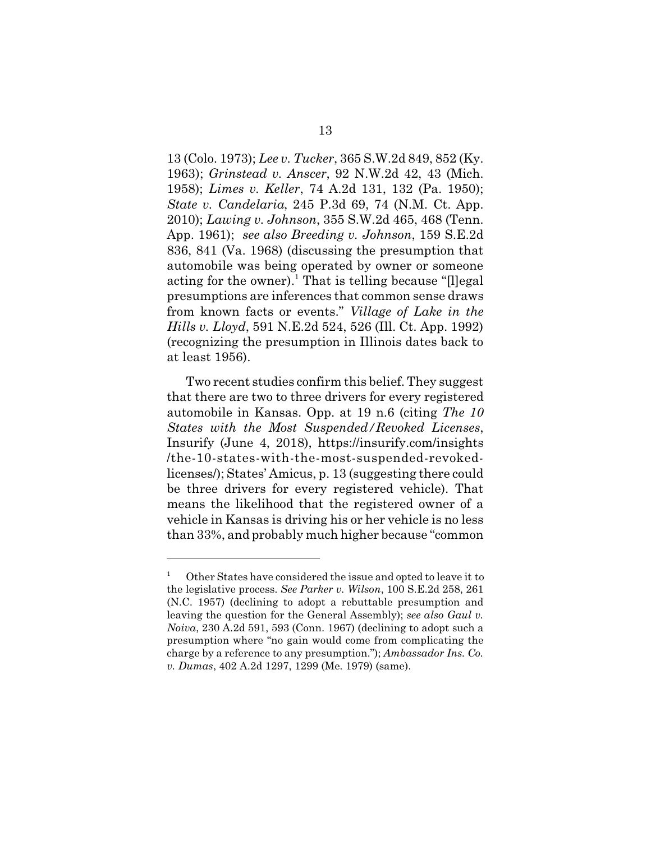13 (Colo. 1973); *Lee v. Tucker*, 365 S.W.2d 849, 852 (Ky. 1963); *Grinstead v. Anscer*, 92 N.W.2d 42, 43 (Mich. 1958); *Limes v. Keller*, 74 A.2d 131, 132 (Pa. 1950); *State v. Candelaria*, 245 P.3d 69, 74 (N.M. Ct. App. 2010); *Lawing v. Johnson*, 355 S.W.2d 465, 468 (Tenn. App. 1961); *see also Breeding v. Johnson*, 159 S.E.2d 836, 841 (Va. 1968) (discussing the presumption that automobile was being operated by owner or someone acting for the owner).<sup>1</sup> That is telling because "[l]egal presumptions are inferences that common sense draws from known facts or events." *Village of Lake in the Hills v. Lloyd*, 591 N.E.2d 524, 526 (Ill. Ct. App. 1992) (recognizing the presumption in Illinois dates back to at least 1956).

Two recent studies confirm this belief. They suggest that there are two to three drivers for every registered automobile in Kansas. Opp. at 19 n.6 (citing *The 10 States with the Most Suspended/Revoked Licenses*, Insurify (June 4, 2018), https://insurify.com/insights /the-10-states-with-the-most-suspended-revokedlicenses/); States' Amicus, p. 13 (suggesting there could be three drivers for every registered vehicle). That means the likelihood that the registered owner of a vehicle in Kansas is driving his or her vehicle is no less than 33%, and probably much higher because "common

<sup>1</sup> Other States have considered the issue and opted to leave it to the legislative process. *See Parker v. Wilson*, 100 S.E.2d 258, 261 (N.C. 1957) (declining to adopt a rebuttable presumption and leaving the question for the General Assembly); *see also Gaul v. Noiva*, 230 A.2d 591, 593 (Conn. 1967) (declining to adopt such a presumption where "no gain would come from complicating the charge by a reference to any presumption."); *Ambassador Ins. Co. v. Dumas*, 402 A.2d 1297, 1299 (Me. 1979) (same).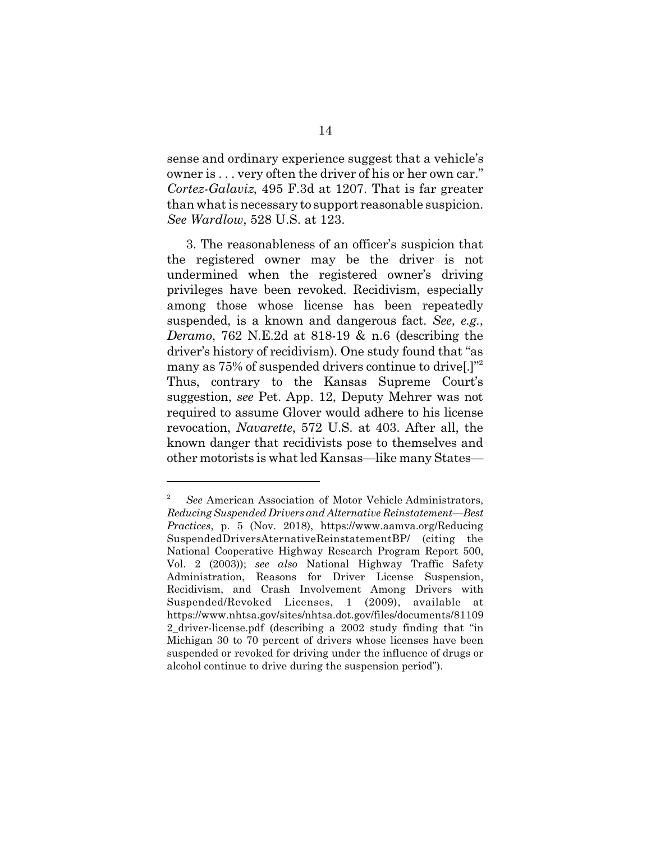sense and ordinary experience suggest that a vehicle's owner is . . . very often the driver of his or her own car." *Cortez-Galaviz*, 495 F.3d at 1207. That is far greater than what is necessary to support reasonable suspicion. *See Wardlow*, 528 U.S. at 123.

3. The reasonableness of an officer's suspicion that the registered owner may be the driver is not undermined when the registered owner's driving privileges have been revoked. Recidivism, especially among those whose license has been repeatedly suspended, is a known and dangerous fact. *See*, *e.g.*, *Deramo*, 762 N.E.2d at 818-19 & n.6 (describing the driver's history of recidivism). One study found that "as many as 75% of suspended drivers continue to drive[.]"<sup>2</sup> Thus, contrary to the Kansas Supreme Court's suggestion, *see* Pet. App. 12, Deputy Mehrer was not required to assume Glover would adhere to his license revocation, *Navarette*, 572 U.S. at 403. After all, the known danger that recidivists pose to themselves and other motorists is what led Kansas—like many States—

<sup>2</sup> *See* American Association of Motor Vehicle Administrators, *Reducing Suspended Drivers and Alternative Reinstatement—Best Practices*, p. 5 (Nov. 2018), https://www.aamva.org/Reducing SuspendedDriversAternativeReinstatementBP/ (citing the National Cooperative Highway Research Program Report 500, Vol. 2 (2003)); *see also* National Highway Traffic Safety Administration, Reasons for Driver License Suspension, Recidivism, and Crash Involvement Among Drivers with Suspended/Revoked Licenses, 1 (2009), available at https://www.nhtsa.gov/sites/nhtsa.dot.gov/files/documents/81109 2 driver-license.pdf (describing a 2002 study finding that "in Michigan 30 to 70 percent of drivers whose licenses have been suspended or revoked for driving under the influence of drugs or alcohol continue to drive during the suspension period").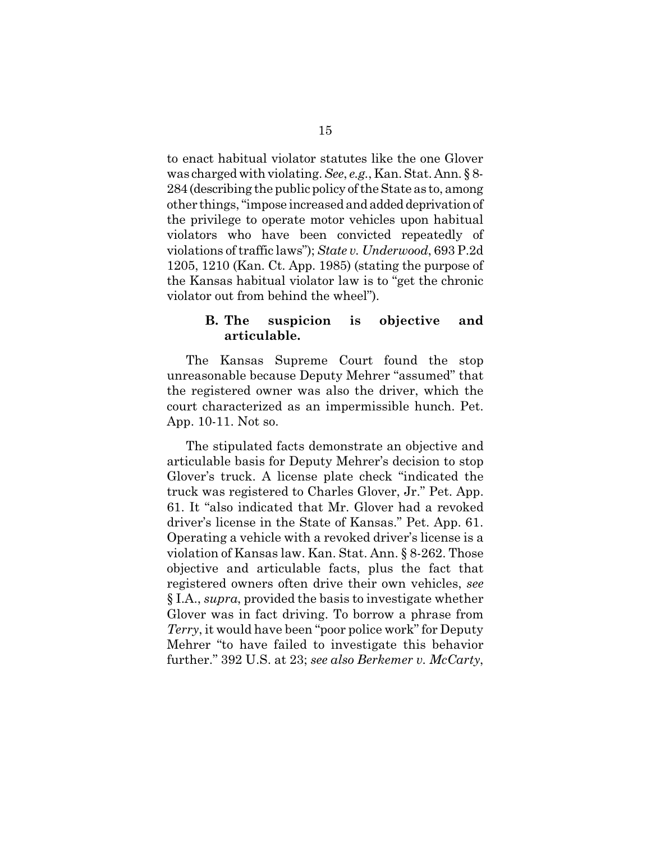to enact habitual violator statutes like the one Glover was charged with violating. *See*, *e.g.*, Kan. Stat. Ann. § 8- 284 (describing the public policy of the State as to, among other things, "impose increased and added deprivation of the privilege to operate motor vehicles upon habitual violators who have been convicted repeatedly of violations of traffic laws"); *State v. Underwood*, 693 P.2d 1205, 1210 (Kan. Ct. App. 1985) (stating the purpose of the Kansas habitual violator law is to "get the chronic violator out from behind the wheel").

### **B. The suspicion is objective and articulable.**

The Kansas Supreme Court found the stop unreasonable because Deputy Mehrer "assumed" that the registered owner was also the driver, which the court characterized as an impermissible hunch. Pet. App. 10-11. Not so.

The stipulated facts demonstrate an objective and articulable basis for Deputy Mehrer's decision to stop Glover's truck. A license plate check "indicated the truck was registered to Charles Glover, Jr." Pet. App. 61. It "also indicated that Mr. Glover had a revoked driver's license in the State of Kansas." Pet. App. 61. Operating a vehicle with a revoked driver's license is a violation of Kansas law. Kan. Stat. Ann. § 8-262. Those objective and articulable facts, plus the fact that registered owners often drive their own vehicles, *see* § I.A., *supra*, provided the basis to investigate whether Glover was in fact driving. To borrow a phrase from *Terry*, it would have been "poor police work" for Deputy Mehrer "to have failed to investigate this behavior further." 392 U.S. at 23; *see also Berkemer v. McCarty*,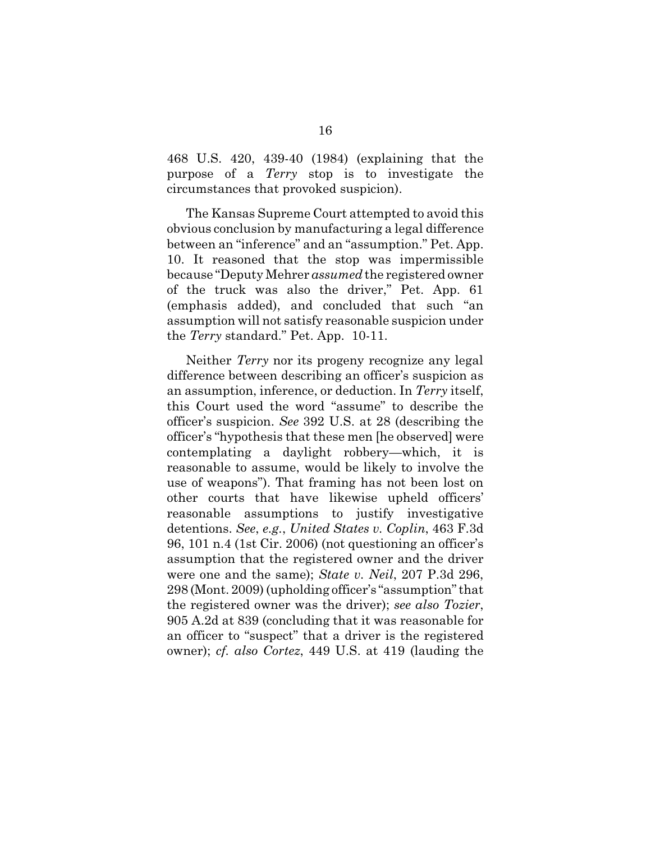468 U.S. 420, 439-40 (1984) (explaining that the purpose of a *Terry* stop is to investigate the circumstances that provoked suspicion).

The Kansas Supreme Court attempted to avoid this obvious conclusion by manufacturing a legal difference between an "inference" and an "assumption." Pet. App. 10. It reasoned that the stop was impermissible because "Deputy Mehrer *assumed* the registered owner of the truck was also the driver," Pet. App. 61 (emphasis added), and concluded that such "an assumption will not satisfy reasonable suspicion under the *Terry* standard." Pet. App. 10-11.

Neither *Terry* nor its progeny recognize any legal difference between describing an officer's suspicion as an assumption, inference, or deduction. In *Terry* itself, this Court used the word "assume" to describe the officer's suspicion. *See* 392 U.S. at 28 (describing the officer's "hypothesis that these men [he observed] were contemplating a daylight robbery—which, it is reasonable to assume, would be likely to involve the use of weapons"). That framing has not been lost on other courts that have likewise upheld officers' reasonable assumptions to justify investigative detentions. *See*, *e.g.*, *United States v. Coplin*, 463 F.3d 96, 101 n.4 (1st Cir. 2006) (not questioning an officer's assumption that the registered owner and the driver were one and the same); *State v. Neil*, 207 P.3d 296, 298 (Mont. 2009) (upholding officer's "assumption" that the registered owner was the driver); *see also Tozier*, 905 A.2d at 839 (concluding that it was reasonable for an officer to "suspect" that a driver is the registered owner); *cf. also Cortez*, 449 U.S. at 419 (lauding the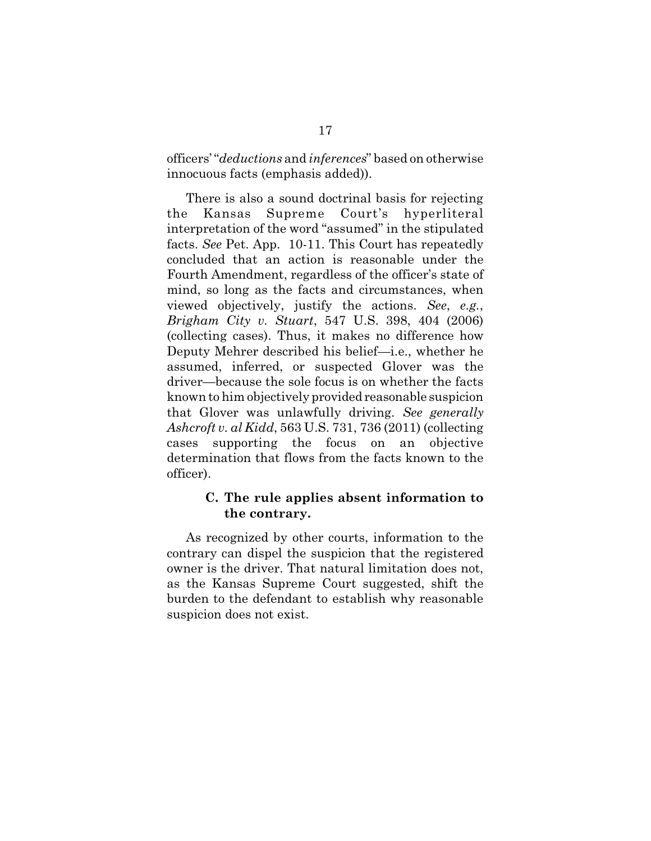officers' "*deductions* and *inferences*" based on otherwise innocuous facts (emphasis added)).

There is also a sound doctrinal basis for rejecting the Kansas Supreme Court's hyperliteral interpretation of the word "assumed" in the stipulated facts. *See* Pet. App. 10-11. This Court has repeatedly concluded that an action is reasonable under the Fourth Amendment, regardless of the officer's state of mind, so long as the facts and circumstances, when viewed objectively, justify the actions. *See*, *e.g.*, *Brigham City v. Stuart*, 547 U.S. 398, 404 (2006) (collecting cases). Thus, it makes no difference how Deputy Mehrer described his belief—i.e., whether he assumed, inferred, or suspected Glover was the driver—because the sole focus is on whether the facts known to him objectively provided reasonable suspicion that Glover was unlawfully driving. *See generally Ashcroft v. al Kidd*, 563 U.S. 731, 736 (2011) (collecting cases supporting the focus on an objective determination that flows from the facts known to the officer).

## **C. The rule applies absent information to the contrary.**

As recognized by other courts, information to the contrary can dispel the suspicion that the registered owner is the driver. That natural limitation does not, as the Kansas Supreme Court suggested, shift the burden to the defendant to establish why reasonable suspicion does not exist.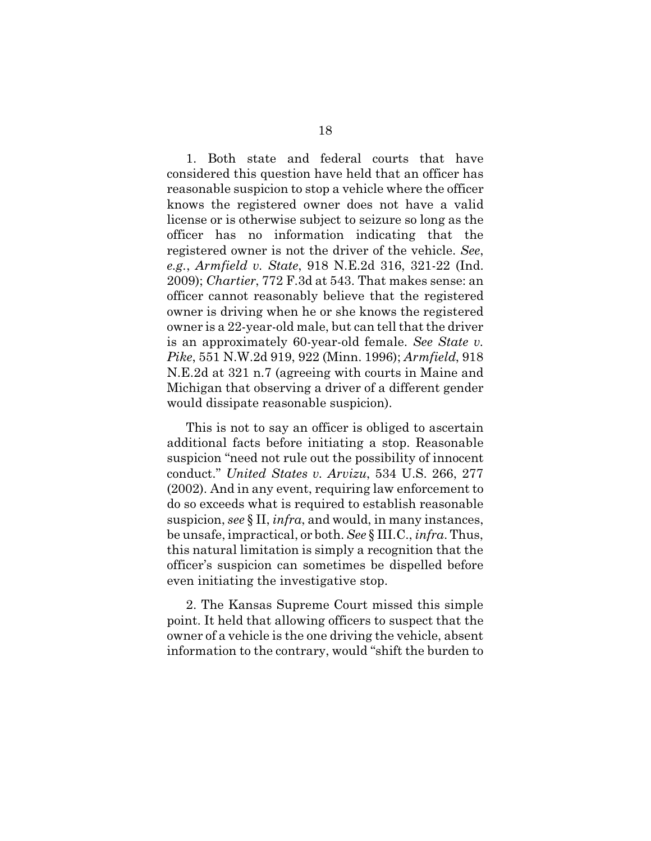1. Both state and federal courts that have considered this question have held that an officer has reasonable suspicion to stop a vehicle where the officer knows the registered owner does not have a valid license or is otherwise subject to seizure so long as the officer has no information indicating that the registered owner is not the driver of the vehicle. *See*, *e.g.*, *Armfield v. State*, 918 N.E.2d 316, 321-22 (Ind. 2009); *Chartier*, 772 F.3d at 543. That makes sense: an officer cannot reasonably believe that the registered owner is driving when he or she knows the registered owner is a 22-year-old male, but can tell that the driver is an approximately 60-year-old female. *See State v. Pike*, 551 N.W.2d 919, 922 (Minn. 1996); *Armfield*, 918 N.E.2d at 321 n.7 (agreeing with courts in Maine and Michigan that observing a driver of a different gender would dissipate reasonable suspicion).

This is not to say an officer is obliged to ascertain additional facts before initiating a stop. Reasonable suspicion "need not rule out the possibility of innocent conduct." *United States v. Arvizu*, 534 U.S. 266, 277 (2002). And in any event, requiring law enforcement to do so exceeds what is required to establish reasonable suspicion, *see* § II, *infra*, and would, in many instances, be unsafe, impractical, or both. *See* § III.C., *infra*. Thus, this natural limitation is simply a recognition that the officer's suspicion can sometimes be dispelled before even initiating the investigative stop.

2. The Kansas Supreme Court missed this simple point. It held that allowing officers to suspect that the owner of a vehicle is the one driving the vehicle, absent information to the contrary, would "shift the burden to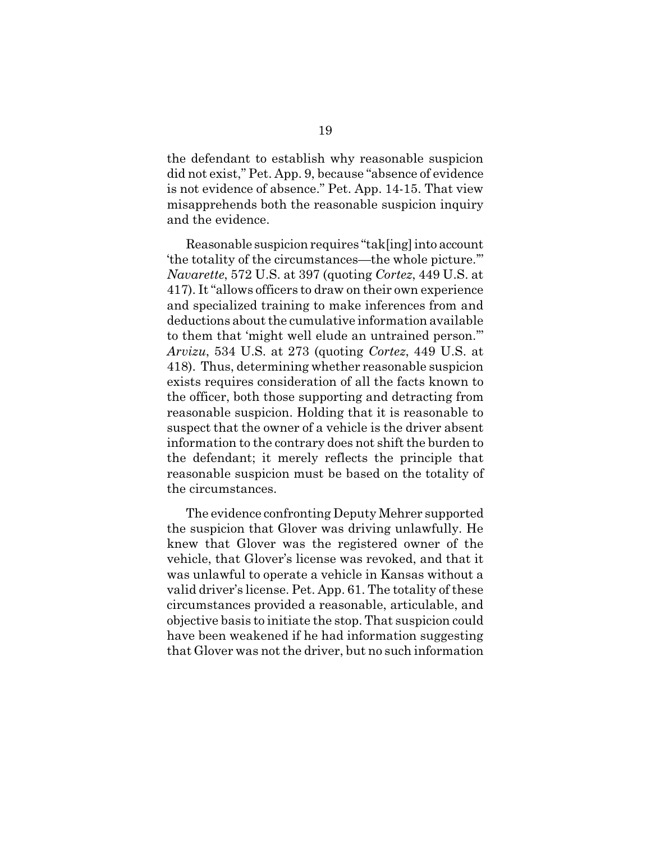the defendant to establish why reasonable suspicion did not exist," Pet. App. 9, because "absence of evidence is not evidence of absence." Pet. App. 14-15. That view misapprehends both the reasonable suspicion inquiry and the evidence.

Reasonable suspicion requires "tak[ing] into account 'the totality of the circumstances—the whole picture.'" *Navarette*, 572 U.S. at 397 (quoting *Cortez*, 449 U.S. at 417). It "allows officers to draw on their own experience and specialized training to make inferences from and deductions about the cumulative information available to them that 'might well elude an untrained person.'" *Arvizu*, 534 U.S. at 273 (quoting *Cortez*, 449 U.S. at 418). Thus, determining whether reasonable suspicion exists requires consideration of all the facts known to the officer, both those supporting and detracting from reasonable suspicion. Holding that it is reasonable to suspect that the owner of a vehicle is the driver absent information to the contrary does not shift the burden to the defendant; it merely reflects the principle that reasonable suspicion must be based on the totality of the circumstances.

The evidence confronting Deputy Mehrer supported the suspicion that Glover was driving unlawfully. He knew that Glover was the registered owner of the vehicle, that Glover's license was revoked, and that it was unlawful to operate a vehicle in Kansas without a valid driver's license. Pet. App. 61. The totality of these circumstances provided a reasonable, articulable, and objective basis to initiate the stop. That suspicion could have been weakened if he had information suggesting that Glover was not the driver, but no such information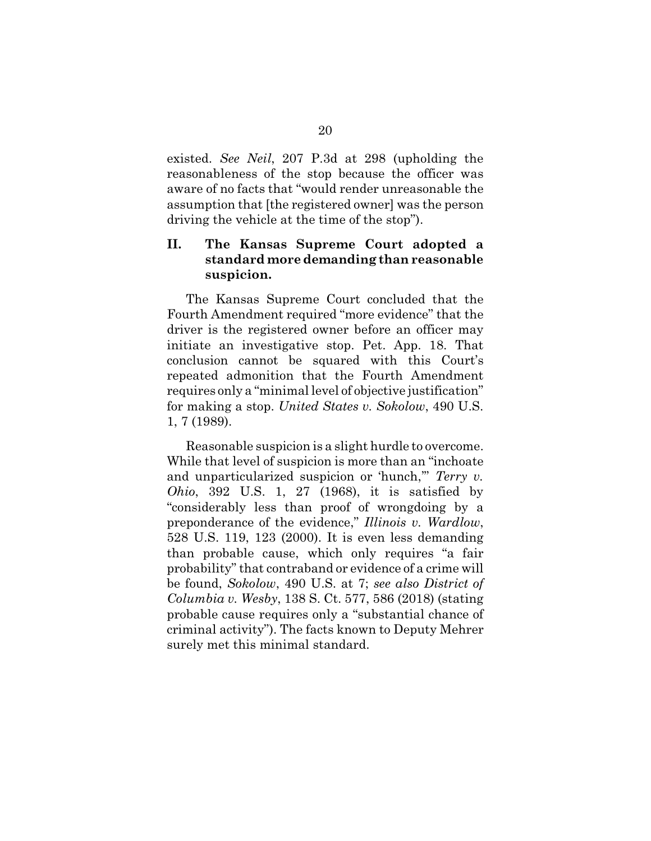existed. *See Neil*, 207 P.3d at 298 (upholding the reasonableness of the stop because the officer was aware of no facts that "would render unreasonable the assumption that [the registered owner] was the person driving the vehicle at the time of the stop").

# **II. The Kansas Supreme Court adopted a standard more demanding than reasonable suspicion.**

The Kansas Supreme Court concluded that the Fourth Amendment required "more evidence" that the driver is the registered owner before an officer may initiate an investigative stop. Pet. App. 18. That conclusion cannot be squared with this Court's repeated admonition that the Fourth Amendment requires only a "minimal level of objective justification" for making a stop. *United States v. Sokolow*, 490 U.S. 1, 7 (1989).

Reasonable suspicion is a slight hurdle to overcome. While that level of suspicion is more than an "inchoate and unparticularized suspicion or 'hunch,'" *Terry v. Ohio*, 392 U.S. 1, 27 (1968), it is satisfied by "considerably less than proof of wrongdoing by a preponderance of the evidence," *Illinois v. Wardlow*, 528 U.S. 119, 123 (2000). It is even less demanding than probable cause, which only requires "a fair probability" that contraband or evidence of a crime will be found, *Sokolow*, 490 U.S. at 7; *see also District of Columbia v. Wesby*, 138 S. Ct. 577, 586 (2018) (stating probable cause requires only a "substantial chance of criminal activity"). The facts known to Deputy Mehrer surely met this minimal standard.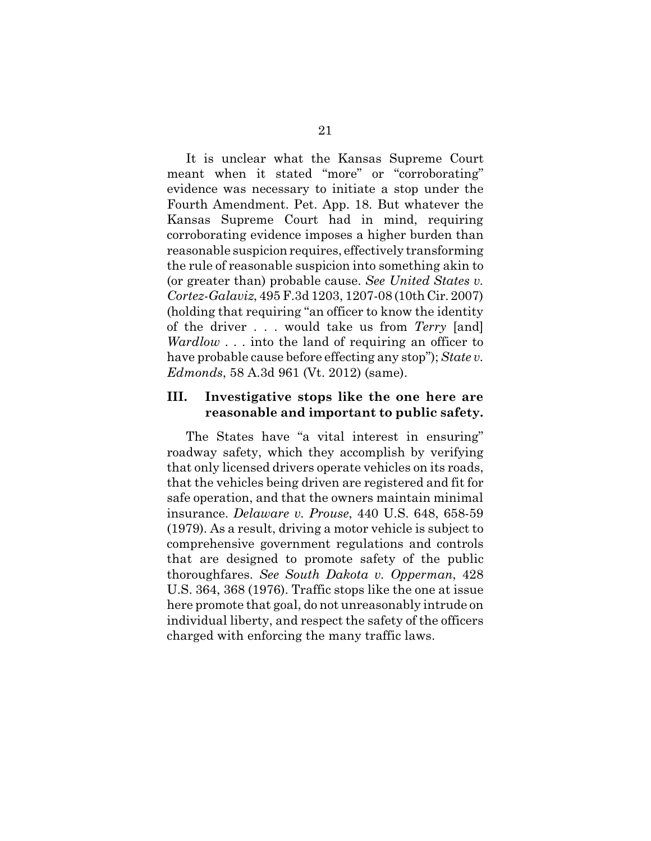It is unclear what the Kansas Supreme Court meant when it stated "more" or "corroborating" evidence was necessary to initiate a stop under the Fourth Amendment. Pet. App. 18. But whatever the Kansas Supreme Court had in mind, requiring corroborating evidence imposes a higher burden than reasonable suspicion requires, effectively transforming the rule of reasonable suspicion into something akin to (or greater than) probable cause. *See United States v. Cortez-Galaviz*, 495 F.3d 1203, 1207-08 (10th Cir. 2007) (holding that requiring "an officer to know the identity of the driver . . . would take us from *Terry* [and] *Wardlow* . . . into the land of requiring an officer to have probable cause before effecting any stop"); *State v. Edmonds*, 58 A.3d 961 (Vt. 2012) (same).

#### **III. Investigative stops like the one here are reasonable and important to public safety.**

The States have "a vital interest in ensuring" roadway safety, which they accomplish by verifying that only licensed drivers operate vehicles on its roads, that the vehicles being driven are registered and fit for safe operation, and that the owners maintain minimal insurance. *Delaware v. Prouse*, 440 U.S. 648, 658-59 (1979). As a result, driving a motor vehicle is subject to comprehensive government regulations and controls that are designed to promote safety of the public thoroughfares. *See South Dakota v. Opperman*, 428 U.S. 364, 368 (1976). Traffic stops like the one at issue here promote that goal, do not unreasonably intrude on individual liberty, and respect the safety of the officers charged with enforcing the many traffic laws.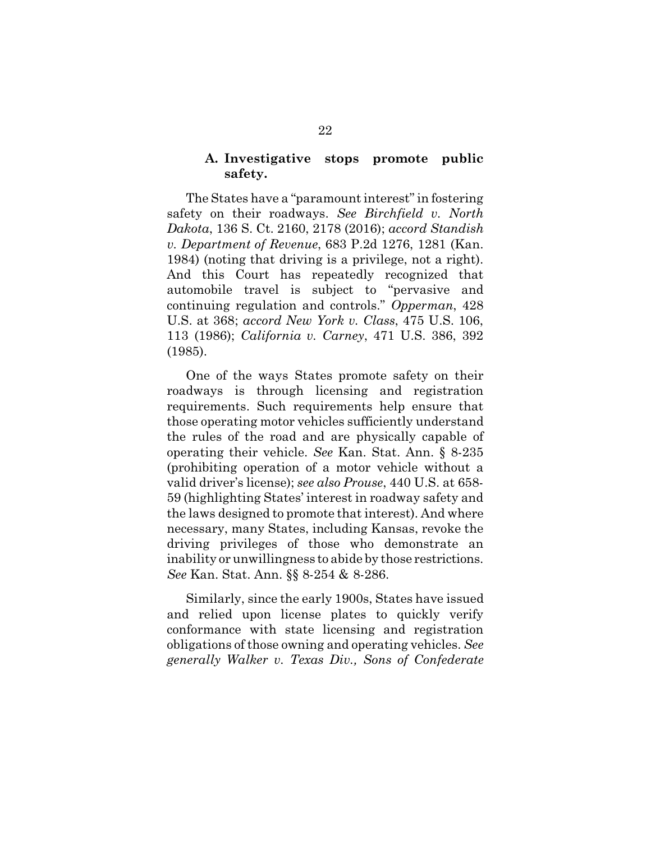### **A. Investigative stops promote public safety.**

The States have a "paramount interest" in fostering safety on their roadways. *See Birchfield v. North Dakota*, 136 S. Ct. 2160, 2178 (2016); *accord Standish v. Department of Revenue*, 683 P.2d 1276, 1281 (Kan. 1984) (noting that driving is a privilege, not a right). And this Court has repeatedly recognized that automobile travel is subject to "pervasive and continuing regulation and controls." *Opperman*, 428 U.S. at 368; *accord New York v. Class*, 475 U.S. 106, 113 (1986); *California v. Carney*, 471 U.S. 386, 392 (1985).

One of the ways States promote safety on their roadways is through licensing and registration requirements. Such requirements help ensure that those operating motor vehicles sufficiently understand the rules of the road and are physically capable of operating their vehicle. *See* Kan. Stat. Ann. § 8-235 (prohibiting operation of a motor vehicle without a valid driver's license); *see also Prouse*, 440 U.S. at 658- 59 (highlighting States' interest in roadway safety and the laws designed to promote that interest). And where necessary, many States, including Kansas, revoke the driving privileges of those who demonstrate an inability or unwillingness to abide by those restrictions. *See* Kan. Stat. Ann. §§ 8-254 & 8-286.

Similarly, since the early 1900s, States have issued and relied upon license plates to quickly verify conformance with state licensing and registration obligations of those owning and operating vehicles. *See generally Walker v. Texas Div., Sons of Confederate*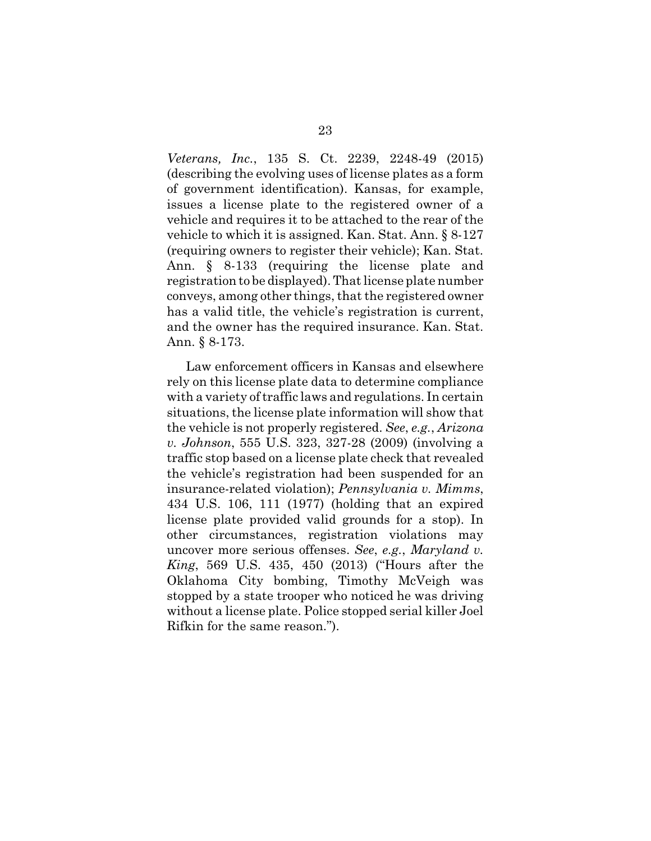*Veterans, Inc.*, 135 S. Ct. 2239, 2248-49 (2015) (describing the evolving uses of license plates as a form of government identification). Kansas, for example, issues a license plate to the registered owner of a vehicle and requires it to be attached to the rear of the vehicle to which it is assigned. Kan. Stat. Ann. § 8-127 (requiring owners to register their vehicle); Kan. Stat. Ann. § 8-133 (requiring the license plate and registration to be displayed). That license plate number conveys, among other things, that the registered owner has a valid title, the vehicle's registration is current, and the owner has the required insurance. Kan. Stat. Ann. § 8-173.

Law enforcement officers in Kansas and elsewhere rely on this license plate data to determine compliance with a variety of traffic laws and regulations. In certain situations, the license plate information will show that the vehicle is not properly registered. *See*, *e.g.*, *Arizona v. Johnson*, 555 U.S. 323, 327-28 (2009) (involving a traffic stop based on a license plate check that revealed the vehicle's registration had been suspended for an insurance-related violation); *Pennsylvania v. Mimms*, 434 U.S. 106, 111 (1977) (holding that an expired license plate provided valid grounds for a stop). In other circumstances, registration violations may uncover more serious offenses. *See*, *e.g.*, *Maryland v. King*, 569 U.S. 435, 450 (2013) ("Hours after the Oklahoma City bombing, Timothy McVeigh was stopped by a state trooper who noticed he was driving without a license plate. Police stopped serial killer Joel Rifkin for the same reason.").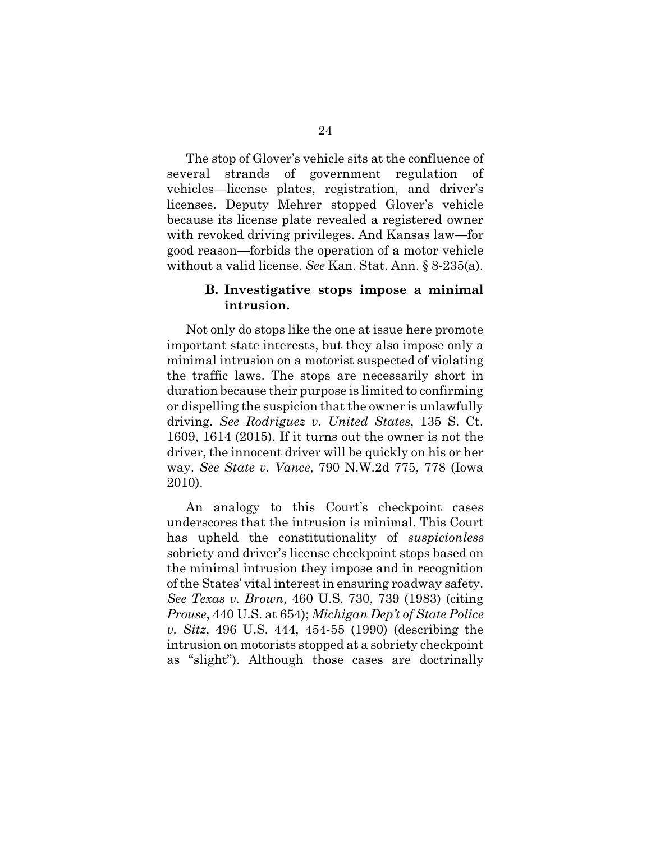The stop of Glover's vehicle sits at the confluence of several strands of government regulation of vehicles—license plates, registration, and driver's licenses. Deputy Mehrer stopped Glover's vehicle because its license plate revealed a registered owner with revoked driving privileges. And Kansas law—for good reason—forbids the operation of a motor vehicle without a valid license. *See* Kan. Stat. Ann. § 8-235(a).

#### **B. Investigative stops impose a minimal intrusion.**

Not only do stops like the one at issue here promote important state interests, but they also impose only a minimal intrusion on a motorist suspected of violating the traffic laws. The stops are necessarily short in duration because their purpose is limited to confirming or dispelling the suspicion that the owner is unlawfully driving. *See Rodriguez v. United States*, 135 S. Ct. 1609, 1614 (2015). If it turns out the owner is not the driver, the innocent driver will be quickly on his or her way. *See State v. Vance*, 790 N.W.2d 775, 778 (Iowa 2010).

An analogy to this Court's checkpoint cases underscores that the intrusion is minimal. This Court has upheld the constitutionality of *suspicionless* sobriety and driver's license checkpoint stops based on the minimal intrusion they impose and in recognition of the States' vital interest in ensuring roadway safety. *See Texas v. Brown*, 460 U.S. 730, 739 (1983) (citing *Prouse*, 440 U.S. at 654); *Michigan Dep't of State Police v. Sitz*, 496 U.S. 444, 454-55 (1990) (describing the intrusion on motorists stopped at a sobriety checkpoint as "slight"). Although those cases are doctrinally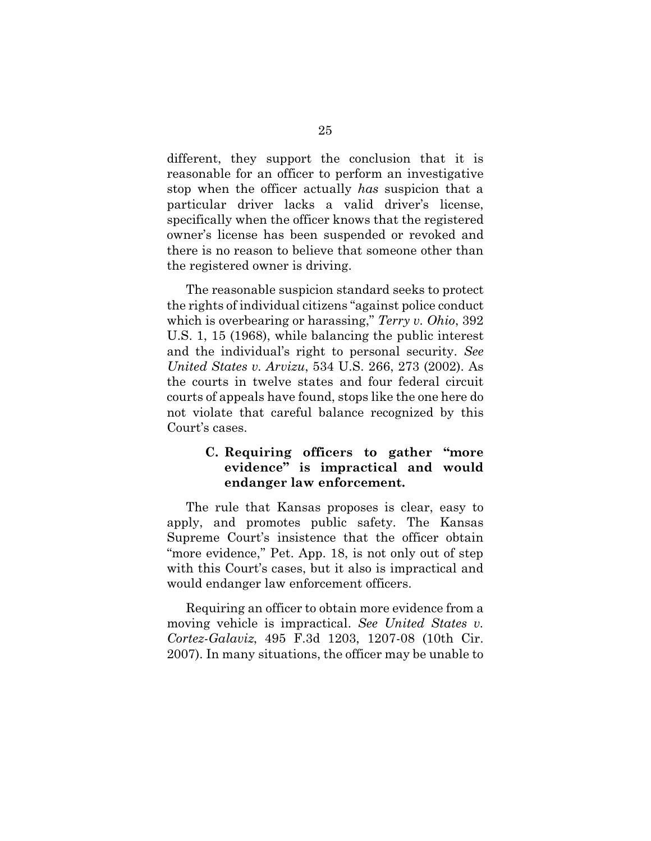different, they support the conclusion that it is reasonable for an officer to perform an investigative stop when the officer actually *has* suspicion that a particular driver lacks a valid driver's license, specifically when the officer knows that the registered owner's license has been suspended or revoked and there is no reason to believe that someone other than the registered owner is driving.

The reasonable suspicion standard seeks to protect the rights of individual citizens "against police conduct which is overbearing or harassing," *Terry v. Ohio*, 392 U.S. 1, 15 (1968), while balancing the public interest and the individual's right to personal security. *See United States v. Arvizu*, 534 U.S. 266, 273 (2002). As the courts in twelve states and four federal circuit courts of appeals have found, stops like the one here do not violate that careful balance recognized by this Court's cases.

# **C. Requiring officers to gather "more evidence" is impractical and would endanger law enforcement.**

The rule that Kansas proposes is clear, easy to apply, and promotes public safety. The Kansas Supreme Court's insistence that the officer obtain "more evidence," Pet. App. 18, is not only out of step with this Court's cases, but it also is impractical and would endanger law enforcement officers.

Requiring an officer to obtain more evidence from a moving vehicle is impractical. *See United States v. Cortez-Galaviz*, 495 F.3d 1203, 1207-08 (10th Cir. 2007). In many situations, the officer may be unable to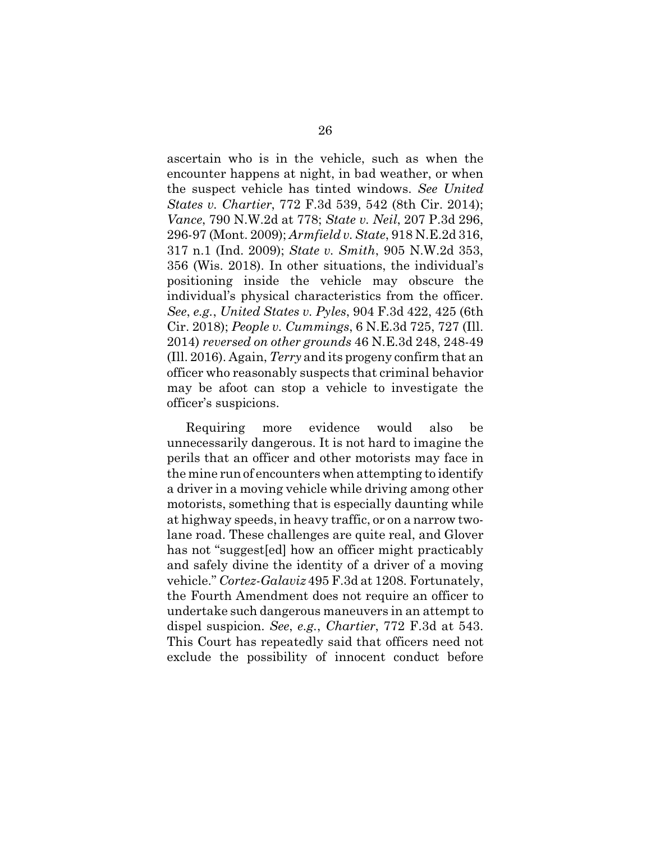ascertain who is in the vehicle, such as when the encounter happens at night, in bad weather, or when the suspect vehicle has tinted windows. *See United States v. Chartier*, 772 F.3d 539, 542 (8th Cir. 2014); *Vance*, 790 N.W.2d at 778; *State v. Neil*, 207 P.3d 296, 296-97 (Mont. 2009); *Armfield v. State*, 918 N.E.2d 316, 317 n.1 (Ind. 2009); *State v. Smith*, 905 N.W.2d 353, 356 (Wis. 2018). In other situations, the individual's positioning inside the vehicle may obscure the individual's physical characteristics from the officer. *See*, *e.g.*, *United States v. Pyles*, 904 F.3d 422, 425 (6th Cir. 2018); *People v. Cummings*, 6 N.E.3d 725, 727 (Ill. 2014) *reversed on other grounds* 46 N.E.3d 248, 248-49 (Ill. 2016). Again, *Terry* and its progeny confirm that an officer who reasonably suspects that criminal behavior may be afoot can stop a vehicle to investigate the officer's suspicions.

Requiring more evidence would also be unnecessarily dangerous. It is not hard to imagine the perils that an officer and other motorists may face in the mine run of encounters when attempting to identify a driver in a moving vehicle while driving among other motorists, something that is especially daunting while at highway speeds, in heavy traffic, or on a narrow twolane road. These challenges are quite real, and Glover has not "suggest[ed] how an officer might practicably and safely divine the identity of a driver of a moving vehicle." *Cortez-Galaviz* 495 F.3d at 1208. Fortunately, the Fourth Amendment does not require an officer to undertake such dangerous maneuvers in an attempt to dispel suspicion. *See*, *e.g.*, *Chartier*, 772 F.3d at 543. This Court has repeatedly said that officers need not exclude the possibility of innocent conduct before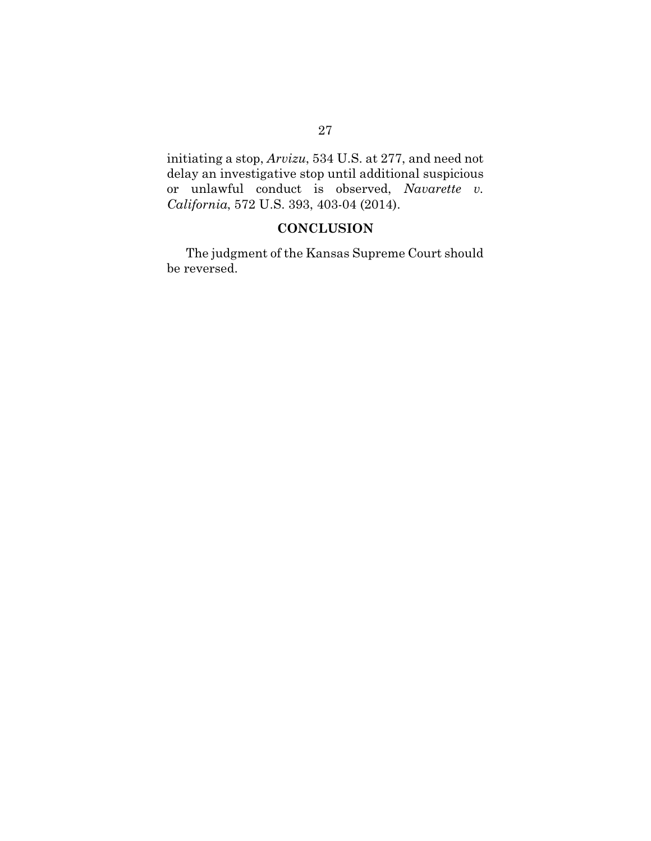initiating a stop, *Arvizu*, 534 U.S. at 277, and need not delay an investigative stop until additional suspicious or unlawful conduct is observed, *Navarette v. California*, 572 U.S. 393, 403-04 (2014).

# **CONCLUSION**

The judgment of the Kansas Supreme Court should be reversed.